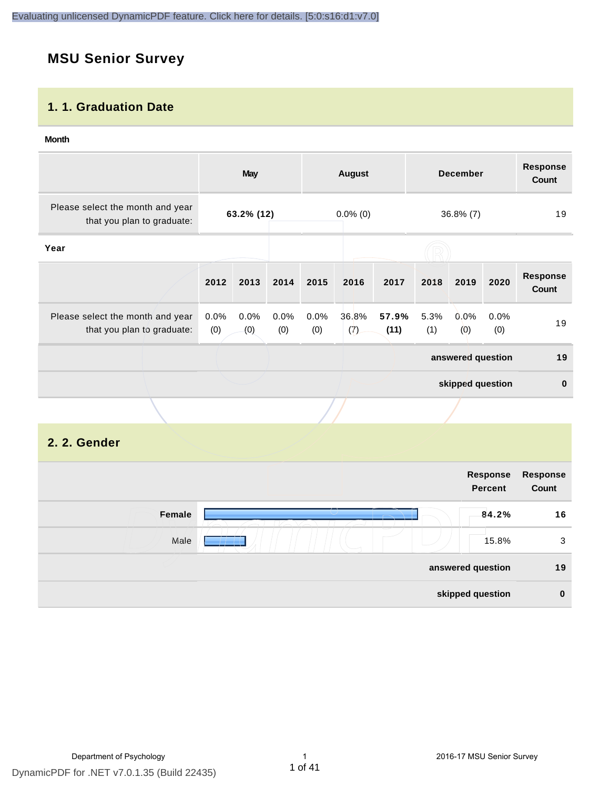## **MSU Senior Survey**

#### **1. 1. Graduation Date**

#### **Month**

|                                                                |             | <b>May</b>  |             |             | <b>August</b> |               |             | <b>December</b>   |             | <b>Response</b><br>Count |
|----------------------------------------------------------------|-------------|-------------|-------------|-------------|---------------|---------------|-------------|-------------------|-------------|--------------------------|
| Please select the month and year<br>that you plan to graduate: |             | 63.2% (12)  |             |             | $0.0\%$ (0)   |               |             | $36.8\%$ (7)      |             | 19                       |
| Year                                                           |             |             |             |             |               |               |             |                   |             |                          |
|                                                                | 2012        | 2013        | 2014        | 2015        | 2016          | 2017          | 2018        | 2019              | 2020        | <b>Response</b><br>Count |
| Please select the month and year<br>that you plan to graduate: | 0.0%<br>(0) | 0.0%<br>(0) | 0.0%<br>(0) | 0.0%<br>(0) | 36.8%<br>(7)  | 57.9%<br>(11) | 5.3%<br>(1) | 0.0%<br>(0)       | 0.0%<br>(0) | 19                       |
|                                                                |             |             |             |             |               |               |             | answered question |             | 19                       |
|                                                                |             |             |             |             |               |               |             | skipped question  |             | $\mathbf 0$              |
|                                                                |             |             |             |             |               |               |             |                   |             |                          |

#### **2. 2. Gender**

| Response<br><b>Percent</b> |                                       |
|----------------------------|---------------------------------------|
| 84.2%                      | Female                                |
| 15.8%                      | Male                                  |
|                            |                                       |
|                            |                                       |
| Response                   | answered question<br>skipped question |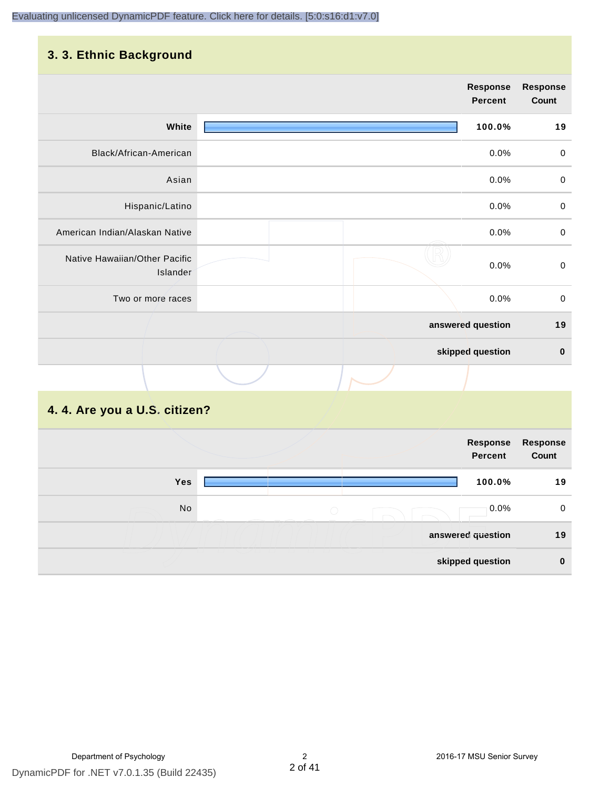## **3. 3. Ethnic Background**

|                                           | <b>Response</b><br><b>Percent</b> | <b>Response</b><br>Count |
|-------------------------------------------|-----------------------------------|--------------------------|
| White                                     | 100.0%                            | 19                       |
| Black/African-American                    | 0.0%                              | $\pmb{0}$                |
| Asian                                     | 0.0%                              | $\pmb{0}$                |
| Hispanic/Latino                           | 0.0%                              | $\pmb{0}$                |
| American Indian/Alaskan Native            | 0.0%                              | $\pmb{0}$                |
| Native Hawaiian/Other Pacific<br>Islander | 0.0%                              | $\boldsymbol{0}$         |
| Two or more races                         | 0.0%                              | $\pmb{0}$                |
|                                           | answered question                 | 19                       |
|                                           | skipped question                  | $\bf{0}$                 |
|                                           |                                   |                          |

#### **4. 4. Are you a U.S. citizen?**

|            |            | Response<br><b>Percent</b> | <b>Response</b><br>Count |
|------------|------------|----------------------------|--------------------------|
| <b>Yes</b> |            | 100.0%                     | 19                       |
| No         | $\bigcirc$ | $0.0\%$                    | 0                        |
|            |            | answered question          | 19                       |
|            |            | skipped question           | $\bf{0}$                 |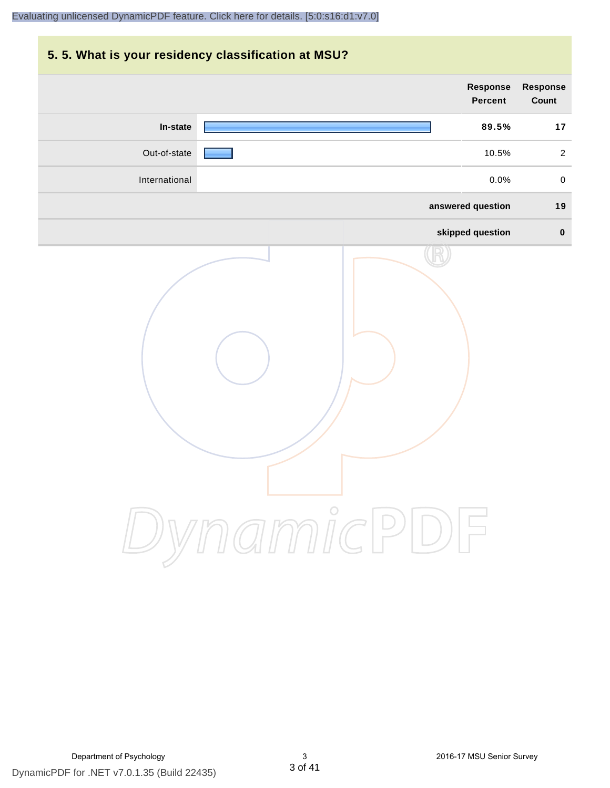## **5. 5. What is your residency classification at MSU?**

|               | <b>Response</b><br><b>Percent</b> | <b>Response</b><br>Count |
|---------------|-----------------------------------|--------------------------|
| In-state      | 89.5%                             | 17                       |
| Out-of-state  | 10.5%                             | $\overline{2}$           |
| International | 0.0%                              | $\mathbf 0$              |
|               | answered question                 | 19                       |
|               | skipped question                  | $\mathbf 0$              |
|               | ynamicPD                          |                          |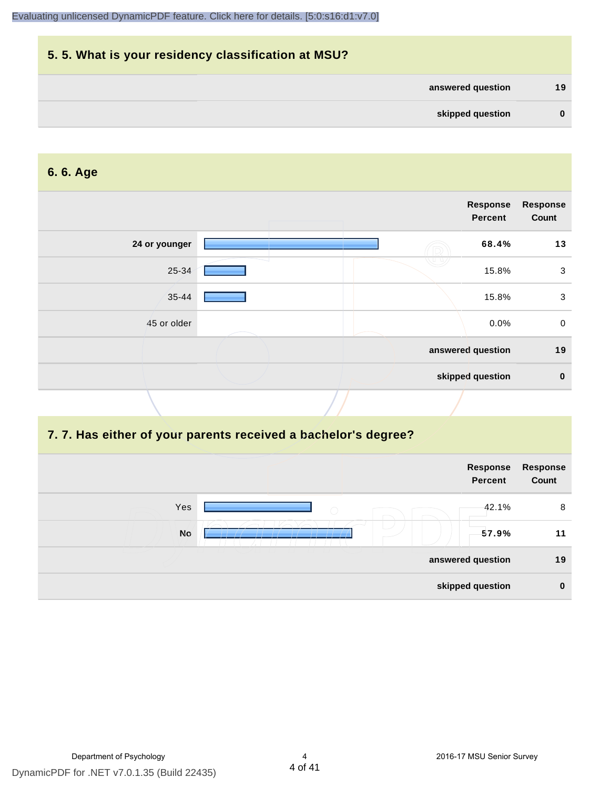## **5. 5. What is your residency classification at MSU? answered question 19 skipped question 0**

#### **6. 6. Age**

| <b>Response</b><br><b>Response</b><br><b>Percent</b> |               |
|------------------------------------------------------|---------------|
| 68.4%                                                | 24 or younger |
| 15.8%                                                | 25-34         |
| 15.8%                                                | 35-44         |
| 0.0%                                                 | 45 or older   |
| answered question                                    |               |
| skipped question                                     |               |
|                                                      |               |

#### **7. 7. Has either of your parents received a bachelor's degree?**

| Response<br>Count | Response<br><b>Percent</b> |            |           |
|-------------------|----------------------------|------------|-----------|
| 8                 | 42.1%                      | $\bigcirc$ | Yes       |
| 11                | 57.9%                      |            | <b>No</b> |
| 19                | answered question          |            |           |
| $\mathbf 0$       | skipped question           |            |           |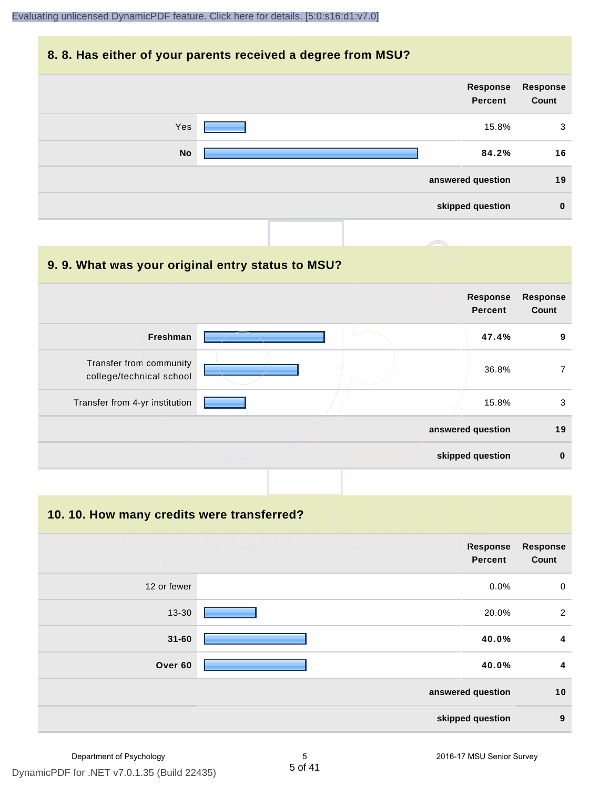#### **8. 8. Has either of your parents received a degree from MSU?**

|           | Response<br><b>Percent</b> | Response<br>Count |
|-----------|----------------------------|-------------------|
| Yes       | 15.8%                      | 3                 |
| <b>No</b> | 84.2%                      | 16                |
|           | answered question          | 19                |
|           | skipped question           | $\mathbf 0$       |

#### **9. 9. What was your original entry status to MSU?**

|                                                     | <b>Response</b><br><b>Percent</b> | <b>Response</b><br>Count |
|-----------------------------------------------------|-----------------------------------|--------------------------|
| <b>Freshman</b>                                     | 47.4%                             | 9                        |
| Transfer from community<br>college/technical school | 36.8%                             |                          |
| Transfer from 4-yr institution                      | 15.8%                             | 3                        |
|                                                     | answered question                 | 19                       |
|                                                     | skipped question                  | $\bf{0}$                 |

**10. 10. How many credits were transferred?**

|             | <b>Response</b><br><b>Percent</b> | Response<br>Count |
|-------------|-----------------------------------|-------------------|
| 12 or fewer | $0.0\%$                           | $\overline{0}$    |
| 13-30       | 20.0%                             | 2                 |
| $31 - 60$   | 40.0%                             | 4                 |
| Over 60     | 40.0%                             | 4                 |
|             | answered question                 | 10                |
|             | skipped question                  | 9                 |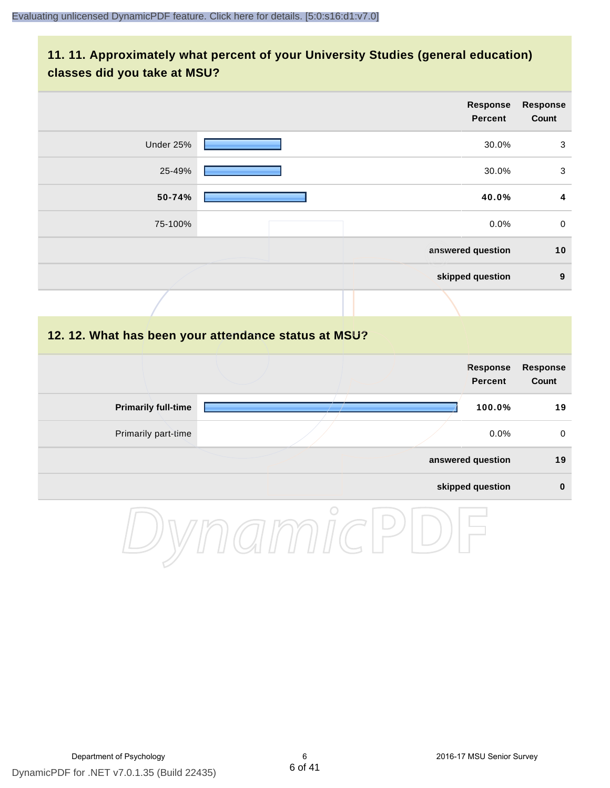#### **11. 11. Approximately what percent of your University Studies (general education) classes did you take at MSU?**

|           | <b>Response</b><br><b>Percent</b> | Response<br>Count |
|-----------|-----------------------------------|-------------------|
| Under 25% | 30.0%                             | 3                 |
| 25-49%    | 30.0%                             | 3                 |
| 50-74%    | 40.0%                             | 4                 |
| 75-100%   | 0.0%                              | $\mathbf 0$       |
|           | answered question                 | 10                |
|           | skipped question                  | $9$               |
|           |                                   |                   |

#### **12. 12. What has been your attendance status at MSU?**

|                            |  | <b>Response</b><br><b>Percent</b> | Response<br>Count |
|----------------------------|--|-----------------------------------|-------------------|
| <b>Primarily full-time</b> |  | 100.0%                            | 19                |
| Primarily part-time        |  | $0.0\%$                           | 0                 |
|                            |  | answered question                 | 19                |
|                            |  | skipped question                  | 0                 |

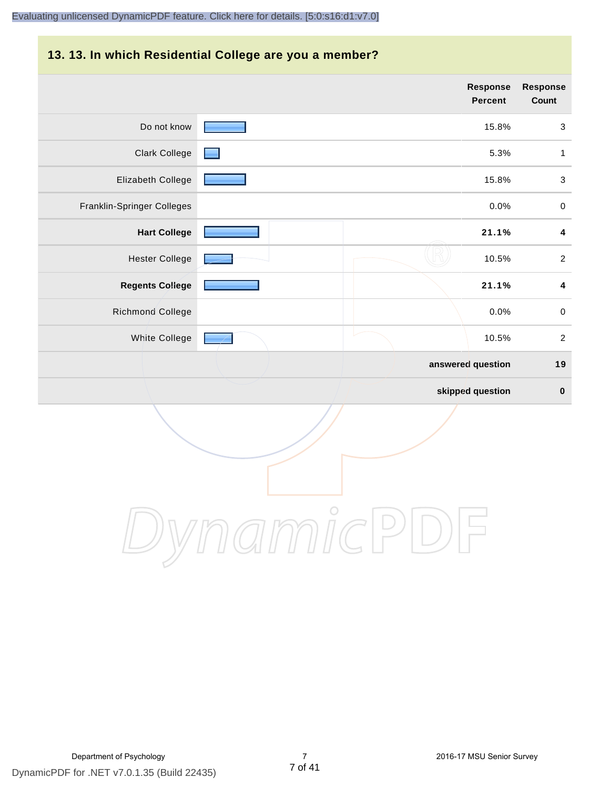## **13. 13. In which Residential College are you a member?**

|                            | <b>Response</b><br><b>Percent</b> | <b>Response</b><br>Count |
|----------------------------|-----------------------------------|--------------------------|
| Do not know                | 15.8%                             | 3                        |
| <b>Clark College</b>       | 5.3%                              | 1                        |
| Elizabeth College          | 15.8%                             | $\sqrt{3}$               |
| Franklin-Springer Colleges | 0.0%                              | $\pmb{0}$                |
| <b>Hart College</b>        | 21.1%                             | 4                        |
| <b>Hester College</b>      | 10.5%                             | $\overline{2}$           |
| <b>Regents College</b>     | 21.1%                             | 4                        |
| Richmond College           | 0.0%                              | $\pmb{0}$                |
| White College              | 10.5%                             | $\sqrt{2}$               |
|                            | answered question                 | 19                       |
|                            | skipped question                  | $\boldsymbol{0}$         |

DynamicPDF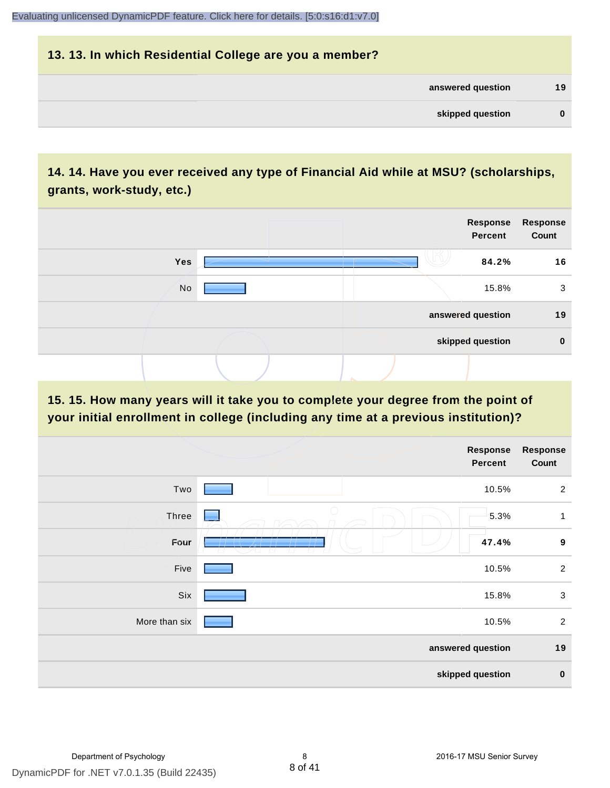## **13. 13. In which Residential College are you a member? answered question 19**

| skipped question |  |
|------------------|--|

#### **14. 14. Have you ever received any type of Financial Aid while at MSU? (scholarships, grants, work-study, etc.)**



**15. 15. How many years will it take you to complete your degree from the point of your initial enrollment in college (including any time at a previous institution)?**

|               | Response<br><b>Percent</b> | <b>Response</b><br>Count |
|---------------|----------------------------|--------------------------|
| Two           | 10.5%                      | $\overline{2}$           |
| Three         | 5.3%<br>لي بيا             | $\mathbf{1}$             |
| Four          | 47.4%                      | $\boldsymbol{9}$         |
| Five          | 10.5%                      | 2                        |
| Six           | 15.8%                      | $\mathbf 3$              |
| More than six | 10.5%                      | $\overline{2}$           |
|               | answered question          | 19                       |
|               | skipped question           | $\pmb{0}$                |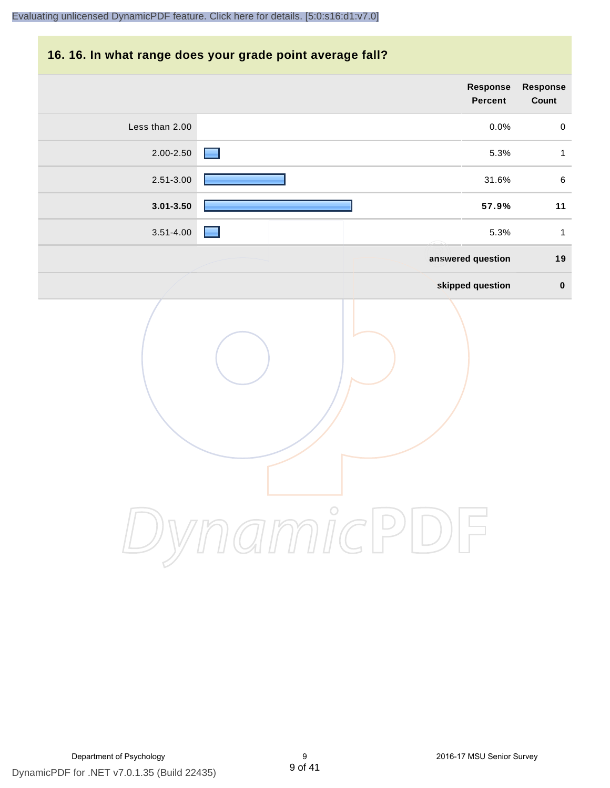## **16. 16. In what range does your grade point average fall?**

|                | <b>Response</b><br><b>Percent</b>  | <b>Response</b><br>Count |
|----------------|------------------------------------|--------------------------|
| Less than 2.00 | 0.0%                               | $\mathbf 0$              |
| 2.00-2.50      | 5.3%                               | $\mathbf{1}$             |
| 2.51-3.00      | 31.6%                              | $\,6\,$                  |
| $3.01 - 3.50$  | 57.9%                              | 11                       |
| $3.51 - 4.00$  | 5.3%                               | $\mathbf{1}$             |
|                | answered question                  | 19                       |
|                | skipped question                   | $\pmb{0}$                |
|                | amicl<br>$\vert \mathcal{P} \vert$ |                          |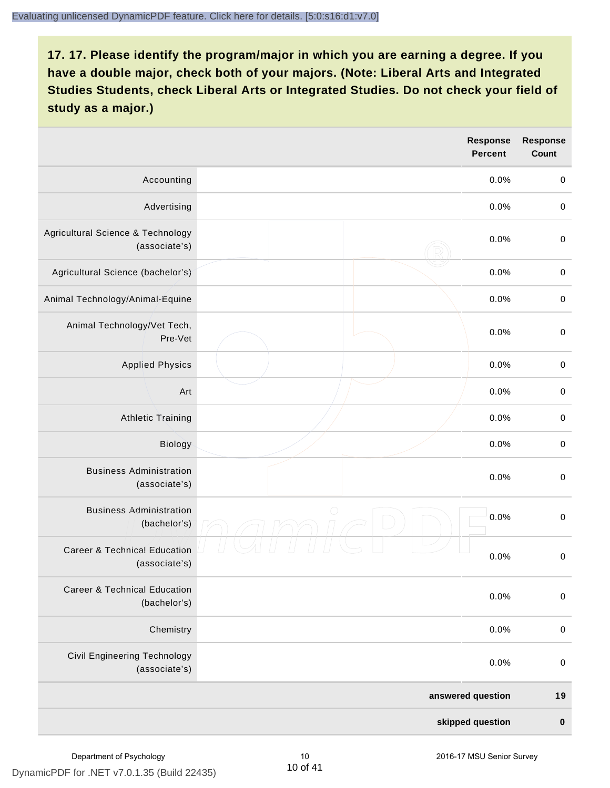|                                                          | <b>Response</b><br><b>Percent</b> | <b>Response</b><br><b>Count</b> |
|----------------------------------------------------------|-----------------------------------|---------------------------------|
| Accounting                                               | 0.0%                              | $\boldsymbol{0}$                |
| Advertising                                              | 0.0%                              | $\boldsymbol{0}$                |
| Agricultural Science & Technology<br>(associate's)       | 0.0%                              | $\boldsymbol{0}$                |
| Agricultural Science (bachelor's)                        | 0.0%                              | $\boldsymbol{0}$                |
| Animal Technology/Animal-Equine                          | 0.0%                              | $\mathbf 0$                     |
| Animal Technology/Vet Tech,<br>Pre-Vet                   | 0.0%                              | $\mathbf 0$                     |
| <b>Applied Physics</b>                                   | 0.0%                              | $\boldsymbol{0}$                |
| Art                                                      | 0.0%                              | $\boldsymbol{0}$                |
| <b>Athletic Training</b>                                 | 0.0%                              | $\boldsymbol{0}$                |
| Biology                                                  | 0.0%                              | $\pmb{0}$                       |
| <b>Business Administration</b><br>(associate's)          | 0.0%                              | $\boldsymbol{0}$                |
| <b>Business Administration</b><br>(bachelor's)           | $\bigcirc$<br>0.0%                | $\boldsymbol{0}$                |
| <b>Career &amp; Technical Education</b><br>(associate's) | 0.0%                              | $\pmb{0}$                       |
| <b>Career &amp; Technical Education</b><br>(bachelor's)  | 0.0%                              | $\mathbf 0$                     |
| Chemistry                                                | 0.0%                              | $\pmb{0}$                       |
| Civil Engineering Technology<br>(associate's)            | 0.0%                              | $\pmb{0}$                       |
|                                                          | answered question                 | 19                              |
|                                                          | skipped question                  | $\pmb{0}$                       |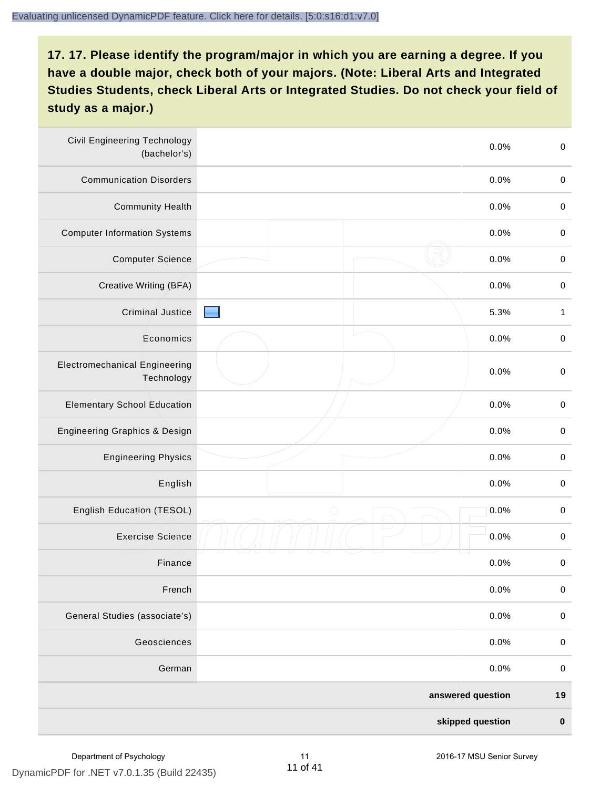| <b>Civil Engineering Technology</b><br>(bachelor's) | 0.0%               | $\mathbf 0$      |
|-----------------------------------------------------|--------------------|------------------|
| <b>Communication Disorders</b>                      | 0.0%               | $\pmb{0}$        |
| <b>Community Health</b>                             | 0.0%               | $\pmb{0}$        |
| <b>Computer Information Systems</b>                 | 0.0%               | $\pmb{0}$        |
| <b>Computer Science</b>                             | 0.0%               | $\pmb{0}$        |
| Creative Writing (BFA)                              | 0.0%               | $\boldsymbol{0}$ |
| <b>Criminal Justice</b>                             | 5.3%               | $\mathbf{1}$     |
| Economics                                           | 0.0%               | $\mathbf 0$      |
| <b>Electromechanical Engineering</b><br>Technology  | 0.0%               | $\mathbf 0$      |
| <b>Elementary School Education</b>                  | 0.0%               | $\pmb{0}$        |
| Engineering Graphics & Design                       | 0.0%               | $\pmb{0}$        |
| <b>Engineering Physics</b>                          | 0.0%               | $\pmb{0}$        |
| English                                             | 0.0%               | $\pmb{0}$        |
| English Education (TESOL)                           | $\bigcirc$<br>0.0% | $\pmb{0}$        |
| <b>Exercise Science</b>                             | 0.0%               | $\,0\,$          |
| Finance                                             | 0.0%               | $\,0\,$          |
| French                                              | 0.0%               | $\mathbf 0$      |
| General Studies (associate's)                       | 0.0%               | $\pmb{0}$        |
| Geosciences                                         | 0.0%               | $\pmb{0}$        |
| German                                              | 0.0%               | $\pmb{0}$        |
|                                                     | answered question  | 19               |
|                                                     | skipped question   | $\pmb{0}$        |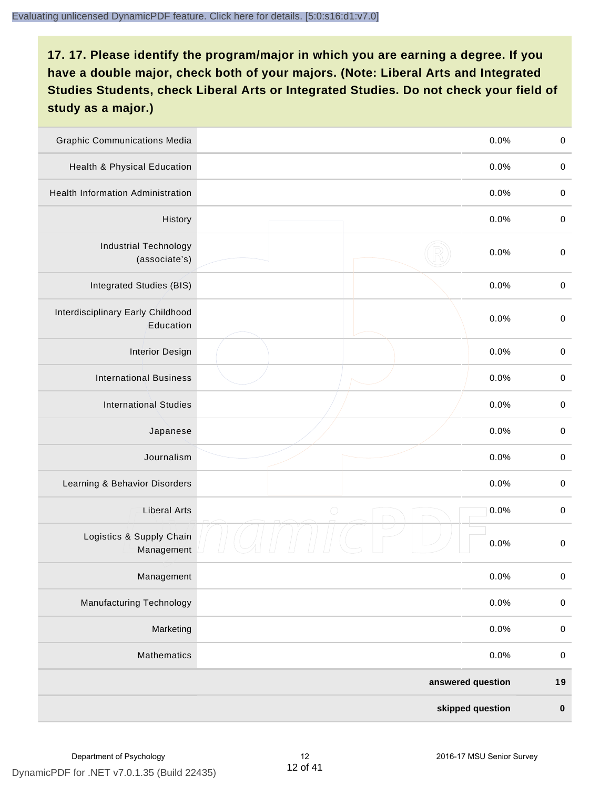| <b>Graphic Communications Media</b>            | 0.0%               | $\boldsymbol{0}$ |
|------------------------------------------------|--------------------|------------------|
| Health & Physical Education                    | 0.0%               | $\pmb{0}$        |
| <b>Health Information Administration</b>       | 0.0%               | $\boldsymbol{0}$ |
| History                                        | 0.0%               | $\pmb{0}$        |
| <b>Industrial Technology</b><br>(associate's)  | 0.0%               | $\boldsymbol{0}$ |
| Integrated Studies (BIS)                       | 0.0%               | $\boldsymbol{0}$ |
| Interdisciplinary Early Childhood<br>Education | 0.0%               | $\boldsymbol{0}$ |
| <b>Interior Design</b>                         | 0.0%               | $\boldsymbol{0}$ |
| <b>International Business</b>                  | 0.0%               | $\boldsymbol{0}$ |
| <b>International Studies</b>                   | 0.0%               | $\mathbf 0$      |
| Japanese                                       | 0.0%               | $\boldsymbol{0}$ |
| Journalism                                     | 0.0%               | $\boldsymbol{0}$ |
| Learning & Behavior Disorders                  | 0.0%               | $\boldsymbol{0}$ |
| <b>Liberal Arts</b>                            | $\bigcirc$<br>0.0% | $\pmb{0}$        |
| Logistics & Supply Chain<br>Management         | 0.0%               | $\boldsymbol{0}$ |
| Management                                     | 0.0%               | 0                |
| <b>Manufacturing Technology</b>                | 0.0%               | $\mathbf 0$      |
| Marketing                                      | 0.0%               | $\boldsymbol{0}$ |
| Mathematics                                    | 0.0%               | $\pmb{0}$        |
|                                                | answered question  | 19               |
|                                                | skipped question   | $\pmb{0}$        |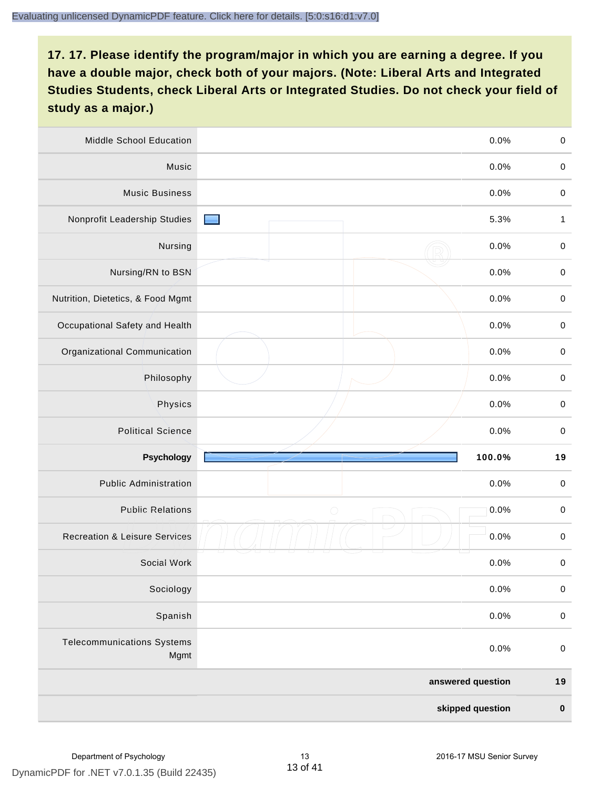| Middle School Education                   | 0.0%                                      | $\boldsymbol{0}$ |
|-------------------------------------------|-------------------------------------------|------------------|
| Music                                     | 0.0%                                      | $\boldsymbol{0}$ |
| <b>Music Business</b>                     | 0.0%                                      | $\boldsymbol{0}$ |
| Nonprofit Leadership Studies              | 5.3%<br><b>Contract Contract Contract</b> | $\mathbf{1}$     |
| Nursing                                   | 0.0%                                      | $\boldsymbol{0}$ |
| Nursing/RN to BSN                         | 0.0%                                      | $\boldsymbol{0}$ |
| Nutrition, Dietetics, & Food Mgmt         | 0.0%                                      | $\boldsymbol{0}$ |
| Occupational Safety and Health            | 0.0%                                      | $\boldsymbol{0}$ |
| Organizational Communication              | 0.0%                                      | $\boldsymbol{0}$ |
| Philosophy                                | 0.0%                                      | $\boldsymbol{0}$ |
| Physics                                   | 0.0%                                      | $\pmb{0}$        |
| <b>Political Science</b>                  | 0.0%                                      | $\boldsymbol{0}$ |
| <b>Psychology</b>                         | 100.0%                                    | 19               |
| <b>Public Administration</b>              | 0.0%                                      | $\boldsymbol{0}$ |
| <b>Public Relations</b>                   | $\bigcirc$<br>0.0%                        | $\pmb{0}$        |
| <b>Recreation &amp; Leisure Services</b>  | 0.0%                                      | $\boldsymbol{0}$ |
| Social Work                               | 0.0%                                      | $\boldsymbol{0}$ |
| Sociology                                 | 0.0%                                      | $\pmb{0}$        |
| Spanish                                   | 0.0%                                      | $\mathbf 0$      |
| <b>Telecommunications Systems</b><br>Mgmt | 0.0%                                      | $\pmb{0}$        |
|                                           | answered question                         | 19               |
|                                           | skipped question                          | $\pmb{0}$        |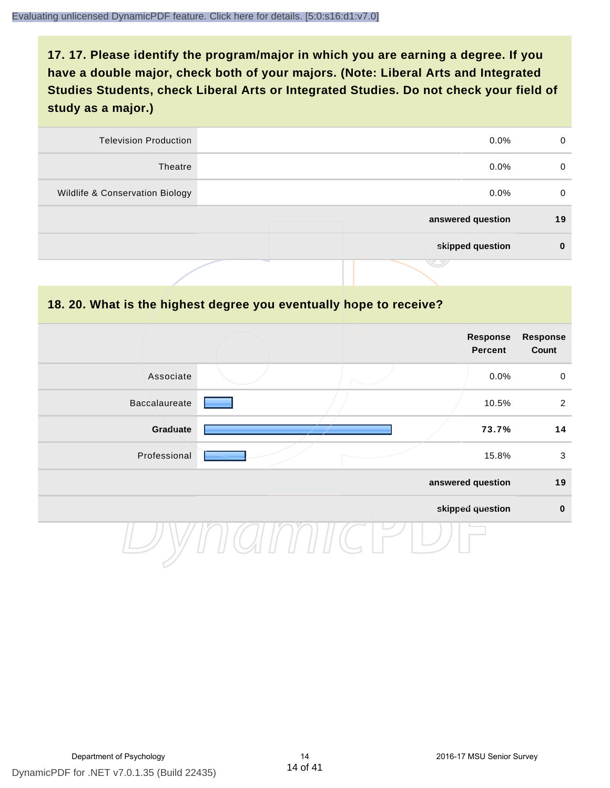| <b>Television Production</b>    | $0.0\%$           | $\Omega$ |
|---------------------------------|-------------------|----------|
| Theatre                         | $0.0\%$           | 0        |
| Wildlife & Conservation Biology | $0.0\%$           | 0        |
|                                 | answered question | 19       |
|                                 | skipped question  | 0        |
|                                 | <u>ترسنی</u>      |          |

#### **18. 20. What is the highest degree you eventually hope to receive?**

|                      |  | <b>Response</b><br><b>Percent</b> | Response<br>Count |
|----------------------|--|-----------------------------------|-------------------|
| Associate            |  | 0.0%                              | $\mathbf 0$       |
| <b>Baccalaureate</b> |  | 10.5%                             | $\overline{2}$    |
| Graduate             |  | 73.7%                             | 14                |
| Professional         |  | 15.8%                             | $\mathfrak{S}$    |
|                      |  | answered question                 | 19                |
|                      |  | skipped question                  | $\pmb{0}$         |
|                      |  |                                   |                   |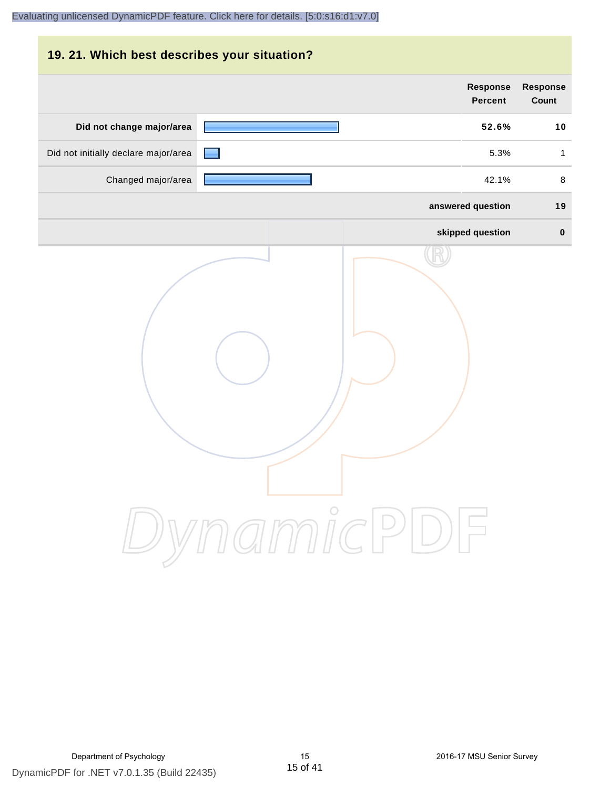## **19. 21. Which best describes your situation?**

|                                      | Response<br><b>Percent</b> | <b>Response</b><br>Count |
|--------------------------------------|----------------------------|--------------------------|
| Did not change major/area            | 52.6%                      | 10                       |
| Did not initially declare major/area | 5.3%                       | $\mathbf{1}$             |
| Changed major/area                   | 42.1%                      | $\,8\,$                  |
|                                      | answered question          | 19                       |
|                                      | skipped question           | $\pmb{0}$                |
|                                      | ynamicPD                   |                          |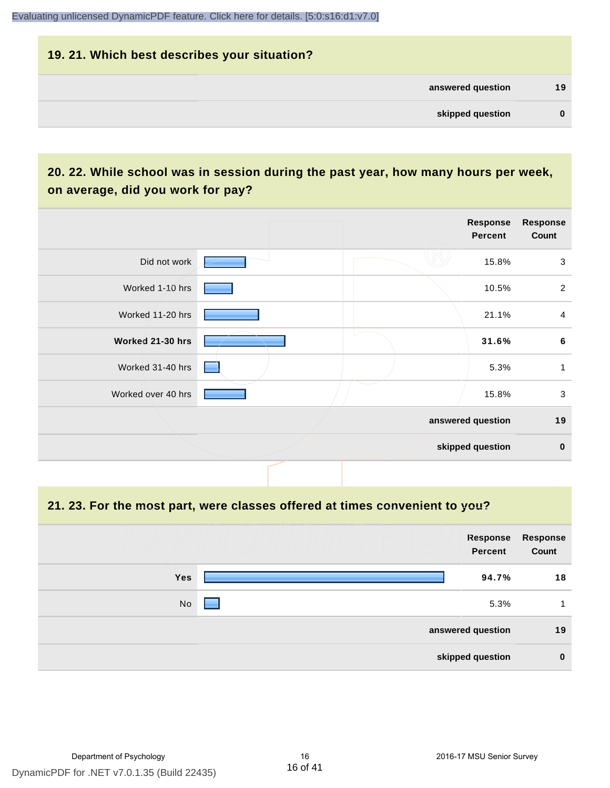#### **19. 21. Which best describes your situation?**

| answered question | 19 |
|-------------------|----|
| skipped question  | 0  |

## **20. 22. While school was in session during the past year, how many hours per week, on average, did you work for pay?**

|                    |                 | <b>Response</b><br>Percent | <b>Response</b><br>Count |
|--------------------|-----------------|----------------------------|--------------------------|
| Did not work       |                 | 15.8%                      | 3                        |
| Worked 1-10 hrs    |                 | 10.5%                      | $\overline{2}$           |
| Worked 11-20 hrs   |                 | 21.1%                      | $\overline{4}$           |
| Worked 21-30 hrs   |                 | 31.6%                      | $6\phantom{1}6$          |
| Worked 31-40 hrs   | <b>Contract</b> | 5.3%                       | $\mathbf{1}$             |
| Worked over 40 hrs |                 | 15.8%                      | $\mathbf{3}$             |
|                    |                 | answered question          | 19                       |
|                    |                 | skipped question           | $\mathbf 0$              |

#### **21. 23. For the most part, were classes offered at times convenient to you?**

|     | <b>Response</b><br>Percent | Response<br>Count |
|-----|----------------------------|-------------------|
| Yes | 94.7%                      | 18                |
| No  | 5.3%                       | 1                 |
|     | answered question          | 19                |
|     | skipped question           | $\bf{0}$          |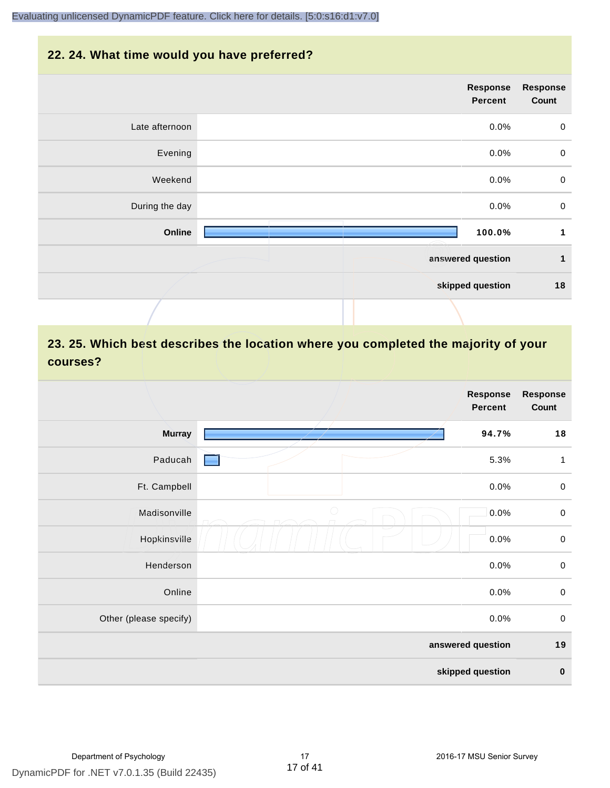#### **22. 24. What time would you have preferred?**

|                | <b>Response</b><br><b>Percent</b> | <b>Response</b><br>Count |
|----------------|-----------------------------------|--------------------------|
| Late afternoon | 0.0%                              | $\mathbf 0$              |
| Evening        | 0.0%                              | $\,0\,$                  |
| Weekend        | 0.0%                              | $\boldsymbol{0}$         |
| During the day | 0.0%                              | $\,0\,$                  |
| Online         | 100.0%                            | $\mathbf 1$              |
|                | answered question                 | $\mathbf{1}$             |
|                | skipped question                  | 18                       |
|                |                                   |                          |

## **23. 25. Which best describes the location where you completed the majority of your courses?**

|                        | <b>Response</b><br>Percent | <b>Response</b><br>Count |
|------------------------|----------------------------|--------------------------|
| <b>Murray</b>          | 94.7%                      | 18                       |
| Paducah                | 5.3%                       | $\mathbf{1}$             |
| Ft. Campbell           | 0.0%                       | $\,0\,$                  |
| Madisonville           | $\bigcirc$<br>0.0%         | $\boldsymbol{0}$         |
| Hopkinsville           | 0.0%                       | $\mathbf 0$              |
| Henderson              | 0.0%                       | $\boldsymbol{0}$         |
| Online                 | 0.0%                       | $\,0\,$                  |
| Other (please specify) | 0.0%                       | $\mathbf 0$              |
|                        | answered question          | 19                       |
|                        | skipped question           | $\pmb{0}$                |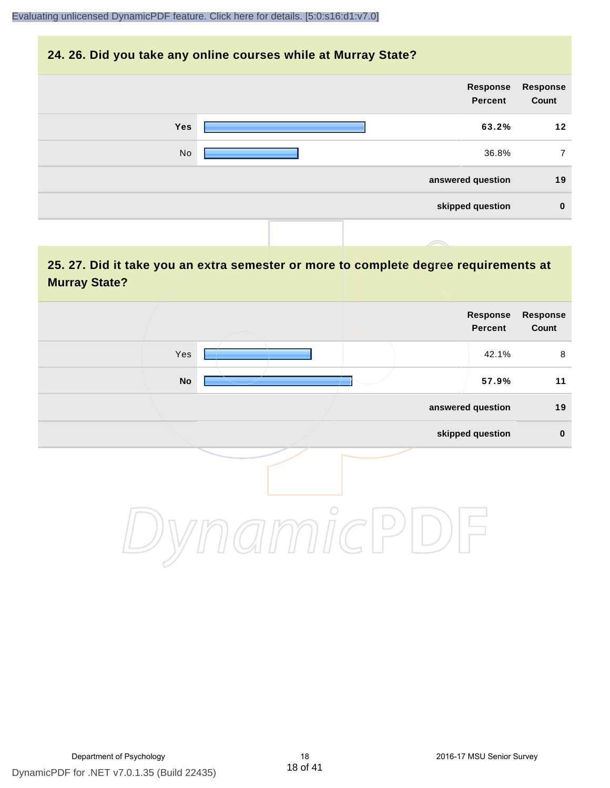#### **24. 26. Did you take any online courses while at Murray State?**

|            | Response<br><b>Percent</b> | Response<br>Count |
|------------|----------------------------|-------------------|
| <b>Yes</b> | 63.2%                      | 12                |
| No         | 36.8%                      | 7                 |
|            | answered question          | 19                |
|            | skipped question           | $\mathbf 0$       |
|            |                            |                   |

### **25. 27. Did it take you an extra semester or more to complete degree requirements at Murray State?**

| Response<br>Count | <b>Response</b><br>Percent |            |                            |  |
|-------------------|----------------------------|------------|----------------------------|--|
| 8                 | 42.1%                      |            | Yes                        |  |
| 11                | 57.9%                      |            | $\mathop{\sf No}\nolimits$ |  |
| 19                | answered question          |            |                            |  |
| $\pmb{0}$         | skipped question           |            |                            |  |
|                   |                            | $\bigcirc$ |                            |  |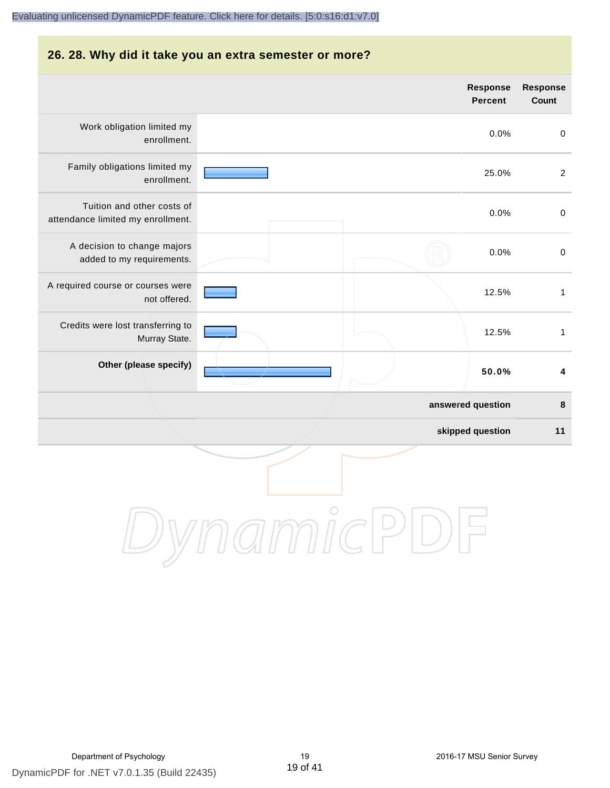#### **26. 28. Why did it take you an extra semester or more?**

|                                                                 |  |                   | Response<br><b>Percent</b> | Response<br>Count       |
|-----------------------------------------------------------------|--|-------------------|----------------------------|-------------------------|
| Work obligation limited my<br>enrollment.                       |  |                   | 0.0%                       | $\boldsymbol{0}$        |
| Family obligations limited my<br>enrollment.                    |  |                   | 25.0%                      | $\overline{2}$          |
| Tuition and other costs of<br>attendance limited my enrollment. |  |                   | 0.0%                       | $\boldsymbol{0}$        |
| A decision to change majors<br>added to my requirements.        |  |                   | 0.0%                       | $\boldsymbol{0}$        |
| A required course or courses were<br>not offered.               |  |                   | 12.5%                      | $\mathbf{1}$            |
| Credits were lost transferring to<br>Murray State.              |  |                   | 12.5%                      | $\mathbf{1}$            |
| Other (please specify)                                          |  |                   | 50.0%                      | $\overline{\mathbf{4}}$ |
|                                                                 |  | answered question |                            | 8                       |
|                                                                 |  |                   | skipped question           | 11                      |
|                                                                 |  |                   |                            |                         |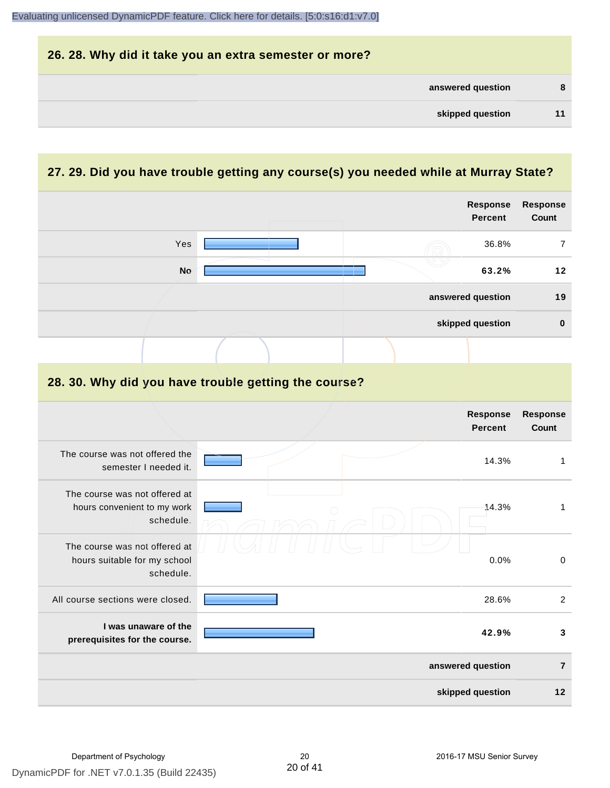| 26. 28. Why did it take you an extra semester or more? |   |
|--------------------------------------------------------|---|
| answered question                                      | 8 |
| skipped question                                       |   |

## **27. 29. Did you have trouble getting any course(s) you needed while at Murray State?**

|                                                                            |  | <b>Response</b><br><b>Percent</b> | <b>Response</b><br>Count |
|----------------------------------------------------------------------------|--|-----------------------------------|--------------------------|
| Yes                                                                        |  | 36.8%                             | $\overline{7}$           |
| <b>No</b>                                                                  |  | 63.2%                             | 12                       |
|                                                                            |  | answered question                 | 19                       |
|                                                                            |  | skipped question                  | $\pmb{0}$                |
|                                                                            |  |                                   |                          |
| 28. 30. Why did you have trouble getting the course?                       |  |                                   |                          |
|                                                                            |  | <b>Response</b><br><b>Percent</b> | <b>Response</b><br>Count |
| The course was not offered the<br>semester I needed it.                    |  | 14.3%                             | $\mathbf{1}$             |
| The course was not offered at<br>hours convenient to my work<br>schedule.  |  | 14.3%                             | $\mathbf{1}$             |
| The course was not offered at<br>hours suitable for my school<br>schedule. |  | 0.0%                              | $\pmb{0}$                |
| All course sections were closed.                                           |  | 28.6%                             | $\overline{2}$           |
| I was unaware of the<br>prerequisites for the course.                      |  | 42.9%                             | $\mathbf{3}$             |
|                                                                            |  | answered question                 | $\overline{7}$           |
|                                                                            |  | skipped question                  | 12                       |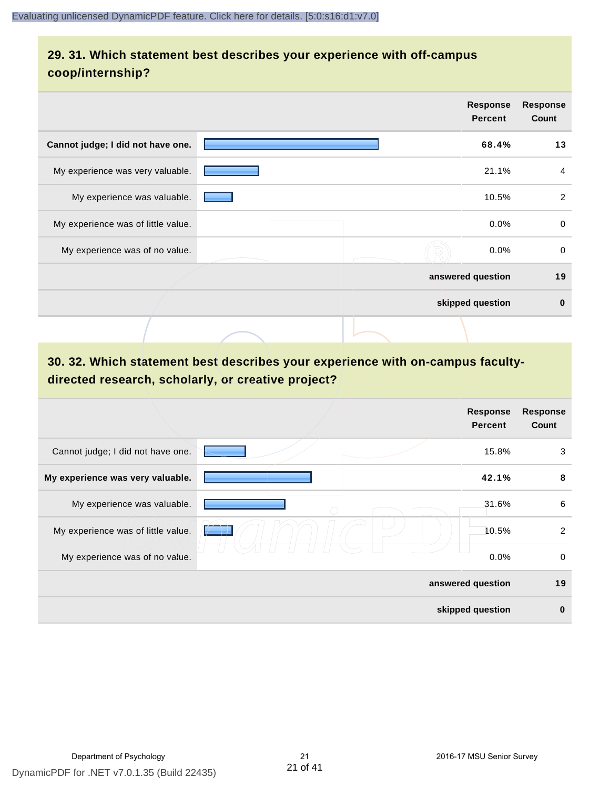### **29. 31. Which statement best describes your experience with off-campus coop/internship?**

|                                    | <b>Response</b><br><b>Percent</b> | <b>Response</b><br>Count |
|------------------------------------|-----------------------------------|--------------------------|
| Cannot judge; I did not have one.  | 68.4%                             | 13                       |
| My experience was very valuable.   | 21.1%                             | 4                        |
| My experience was valuable.        | 10.5%                             | 2                        |
| My experience was of little value. | $0.0\%$                           | 0                        |
| My experience was of no value.     | $0.0\%$                           | $\mathbf 0$              |
|                                    | answered question                 | 19                       |
|                                    | skipped question                  | $\bf{0}$                 |
|                                    |                                   |                          |

## **30. 32. Which statement best describes your experience with on-campus facultydirected research, scholarly, or creative project?**

|                                    | <b>Response</b><br><b>Percent</b> | <b>Response</b><br>Count |
|------------------------------------|-----------------------------------|--------------------------|
| Cannot judge; I did not have one.  | 15.8%                             | 3                        |
| My experience was very valuable.   | 42.1%                             | 8                        |
| My experience was valuable.        | 31.6%<br>∩                        | 6                        |
| My experience was of little value. | 10.5%                             | 2                        |
| My experience was of no value.     | 0.0%                              | $\mathbf 0$              |
|                                    | answered question                 | 19                       |
|                                    | skipped question                  | $\bf{0}$                 |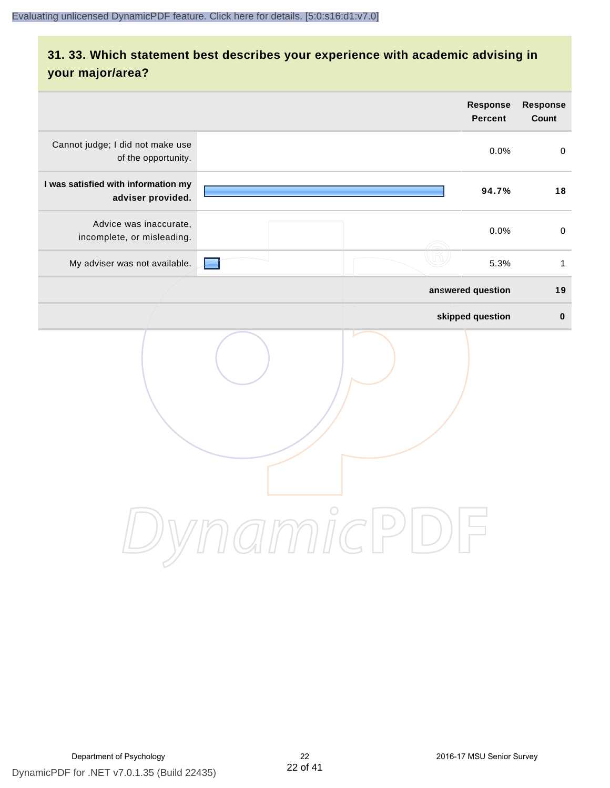## **31. 33. Which statement best describes your experience with academic advising in your major/area?**

|                                                                | Response<br><b>Percent</b>                                             | Response<br>Count   |
|----------------------------------------------------------------|------------------------------------------------------------------------|---------------------|
| Cannot judge; I did not make use<br>of the opportunity.        | 0.0%                                                                   | $\mathsf{O}\xspace$ |
| I was satisfied with information my<br>adviser provided.       | 94.7%                                                                  | 18                  |
| Advice was inaccurate,<br>incomplete, or misleading.           | 0.0%                                                                   | $\mathbf 0$         |
| My adviser was not available.                                  | 5.3%                                                                   | $\mathbf{1}$        |
|                                                                | answered question                                                      | 19                  |
|                                                                | skipped question                                                       | $\pmb{0}$           |
| $\bigcirc$<br>$\mathfrak{A}$ m $\mathfrak{h}$ c $\mathfrak{h}$ | $\left( \begin{array}{c} 1 \\ -1 \end{array} \right)$<br>$\Rightarrow$ |                     |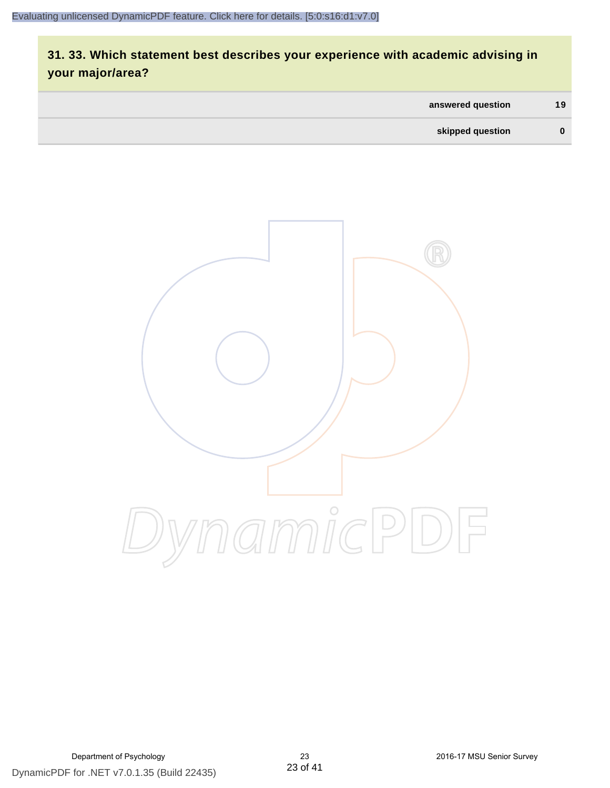## **31. 33. Which statement best describes your experience with academic advising in your major/area?**

| answered question | 19       |
|-------------------|----------|
| skipped question  | $\bf{0}$ |

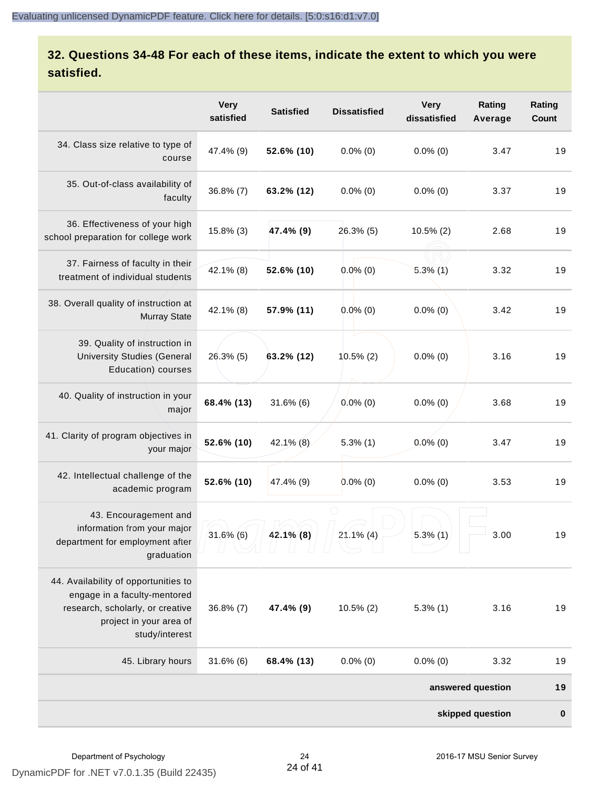## **32. Questions 34-48 For each of these items, indicate the extent to which you were satisfied.**

|                                                                                                                                                       | <b>Very</b><br>satisfied | <b>Satisfied</b> | <b>Dissatisfied</b> | <b>Very</b><br>dissatisfied | Rating<br>Average | Rating<br>Count |
|-------------------------------------------------------------------------------------------------------------------------------------------------------|--------------------------|------------------|---------------------|-----------------------------|-------------------|-----------------|
| 34. Class size relative to type of<br>course                                                                                                          | 47.4% (9)                | 52.6% (10)       | $0.0\%$ (0)         | $0.0\%$ (0)                 | 3.47              | 19              |
| 35. Out-of-class availability of<br>faculty                                                                                                           | $36.8\%$ (7)             | 63.2% (12)       | $0.0\%$ (0)         | $0.0\%$ (0)                 | 3.37              | 19              |
| 36. Effectiveness of your high<br>school preparation for college work                                                                                 | 15.8% (3)                | 47.4% (9)        | 26.3% (5)           | $10.5\%$ (2)                | 2.68              | 19              |
| 37. Fairness of faculty in their<br>treatment of individual students                                                                                  | 42.1% (8)                | 52.6% (10)       | $0.0\%$ (0)         | $5.3\%$ (1)                 | 3.32              | 19              |
| 38. Overall quality of instruction at<br><b>Murray State</b>                                                                                          | 42.1% (8)                | 57.9% (11)       | $0.0\%$ (0)         | $0.0\%$ (0)                 | 3.42              | 19              |
| 39. Quality of instruction in<br><b>University Studies (General</b><br>Education) courses                                                             | $26.3\%$ (5)             | 63.2% (12)       | $10.5\%$ (2)        | $0.0\%$ (0)                 | 3.16              | 19              |
| 40. Quality of instruction in your<br>major                                                                                                           | 68.4% (13)               | $31.6\%$ (6)     | $0.0\%$ (0)         | $0.0\%$ (0)                 | 3.68              | 19              |
| 41. Clarity of program objectives in<br>your major                                                                                                    | 52.6% (10)               | $42.1\%$ (8)     | $5.3\%$ (1)         | $0.0\%$ (0)                 | 3.47              | 19              |
| 42. Intellectual challenge of the<br>academic program                                                                                                 | 52.6% (10)               | 47.4% (9)        | $0.0\%$ (0)         | $0.0\%$ (0)                 | 3.53              | 19              |
| 43. Encouragement and<br>information from your major<br>department for employment after<br>graduation                                                 | $31.6\%$ (6)             | $42.1\%$ (8)     | $21.1\%$ (4)        | $5.3\%$ (1)                 | 3.00              | 19              |
| 44. Availability of opportunities to<br>engage in a faculty-mentored<br>research, scholarly, or creative<br>project in your area of<br>study/interest | $36.8\%$ (7)             | 47.4% (9)        | $10.5\%$ (2)        | $5.3\%$ (1)                 | 3.16              | 19              |
| 45. Library hours                                                                                                                                     | $31.6\%$ (6)             | 68.4% (13)       | $0.0\%$ (0)         | $0.0\%$ (0)                 | 3.32              | 19              |
|                                                                                                                                                       |                          |                  |                     |                             | answered question | 19              |
|                                                                                                                                                       |                          |                  |                     |                             | skipped question  | $\bf{0}$        |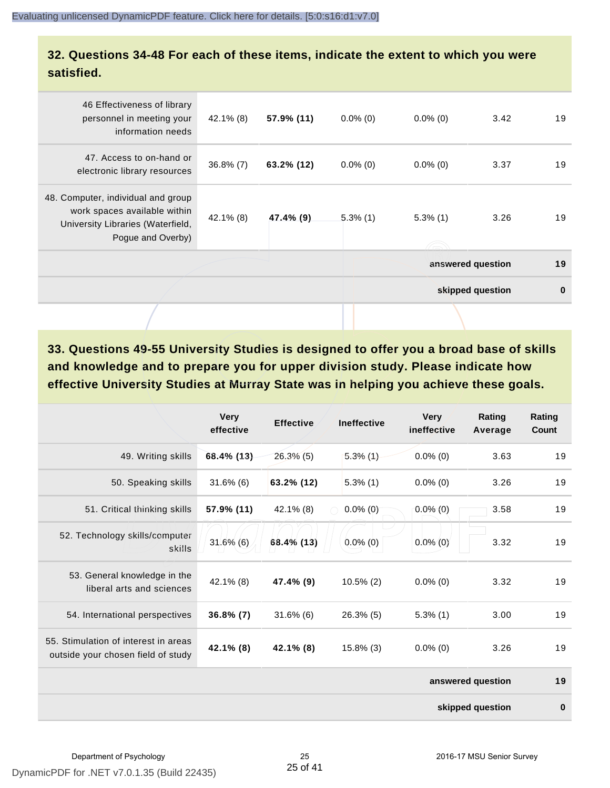#### **32. Questions 34-48 For each of these items, indicate the extent to which you were satisfied.**

| 46 Effectiveness of library<br>personnel in meeting your<br>information needs                                                | 42.1% (8)    | 57.9% (11) | $0.0\%$ (0) | $0.0\%$ (0) | 3.42              | 19       |
|------------------------------------------------------------------------------------------------------------------------------|--------------|------------|-------------|-------------|-------------------|----------|
| 47. Access to on-hand or<br>electronic library resources                                                                     | $36.8\% (7)$ | 63.2% (12) | $0.0\%$ (0) | $0.0\%$ (0) | 3.37              | 19       |
| 48. Computer, individual and group<br>work spaces available within<br>University Libraries (Waterfield,<br>Pogue and Overby) | $42.1\%$ (8) | 47.4% (9)  | $5.3\%$ (1) | $5.3\%$ (1) | 3.26              | 19       |
|                                                                                                                              |              |            |             |             | answered question | 19       |
|                                                                                                                              |              |            |             |             | skipped question  | $\bf{0}$ |
|                                                                                                                              |              |            |             |             |                   |          |

**33. Questions 49-55 University Studies is designed to offer you a broad base of skills and knowledge and to prepare you for upper division study. Please indicate how effective University Studies at Murray State was in helping you achieve these goals.**

|                                                                            | <b>Very</b><br>effective | <b>Effective</b> | <b>Ineffective</b> | <b>Very</b><br>ineffective | Rating<br>Average | Rating<br>Count |
|----------------------------------------------------------------------------|--------------------------|------------------|--------------------|----------------------------|-------------------|-----------------|
| 49. Writing skills                                                         | 68.4% (13)               | $26.3\%$ (5)     | 5.3%(1)            | $0.0\%$ (0)                | 3.63              | 19              |
| 50. Speaking skills                                                        | $31.6\%$ (6)             | 63.2% (12)       | $5.3\%$ (1)        | $0.0\%$ (0)                | 3.26              | 19              |
| 51. Critical thinking skills                                               | 57.9% (11)               | 42.1% (8)        | $0.0\%$ (0)        | $0.0\%(0)$                 | 3.58              | 19              |
| 52. Technology skills/computer<br>skills                                   | $31.6\%$ (6)             | 68.4% (13)       | $0.0\%$ (0)        | $0.0\%$ (0)                | 3.32              | 19              |
| 53. General knowledge in the<br>liberal arts and sciences                  | 42.1% (8)                | 47.4% (9)        | $10.5\%$ (2)       | $0.0\%$ (0)                | 3.32              | 19              |
| 54. International perspectives                                             | $36.8\% (7)$             | $31.6\%$ (6)     | $26.3\%$ (5)       | $5.3\%$ (1)                | 3.00              | 19              |
| 55. Stimulation of interest in areas<br>outside your chosen field of study | 42.1% (8)                | 42.1% (8)        | $15.8\%$ (3)       | $0.0\%$ (0)                | 3.26              | 19              |
|                                                                            |                          |                  |                    |                            | answered question | 19              |
|                                                                            |                          |                  |                    |                            | skipped question  | $\bf{0}$        |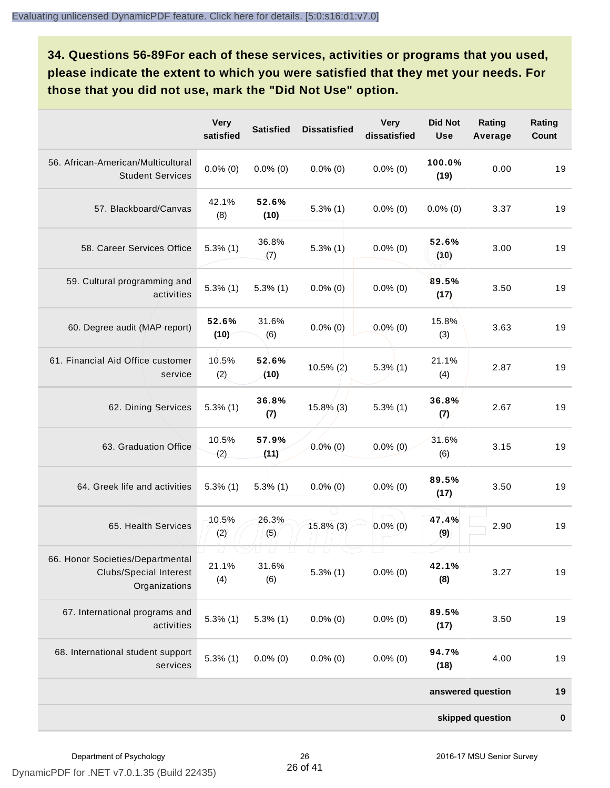**34. Questions 56-89For each of these services, activities or programs that you used, please indicate the extent to which you were satisfied that they met your needs. For those that you did not use, mark the "Did Not Use" option.**

|                                                                                    | <b>Very</b><br>satisfied | <b>Satisfied</b>                   | <b>Dissatisfied</b>                | <b>Very</b><br>dissatisfied | <b>Did Not</b><br><b>Use</b> | Rating<br>Average | Rating<br><b>Count</b> |
|------------------------------------------------------------------------------------|--------------------------|------------------------------------|------------------------------------|-----------------------------|------------------------------|-------------------|------------------------|
| 56. African-American/Multicultural<br><b>Student Services</b>                      | $0.0\%$ (0)              | $0.0\%$ (0)                        | $0.0\%$ (0)                        | $0.0\%$ (0)                 | 100.0%<br>(19)               | 0.00              | 19                     |
| 57. Blackboard/Canvas                                                              | 42.1%<br>(8)             | 52.6%<br>(10)                      | $5.3\%$ (1)                        | $0.0\%$ (0)                 | $0.0\%$ (0)                  | 3.37              | 19                     |
| 58. Career Services Office                                                         | $5.3\%$ (1)              | 36.8%<br>(7)                       | $5.3\%$ (1)                        | $0.0\%$ (0)                 | 52.6%<br>(10)                | 3.00              | 19                     |
| 59. Cultural programming and<br>activities                                         | $5.3\%$ (1)              | $5.3\%$ (1)                        | $0.0\%$ (0)                        | $0.0\%$ (0)                 | 89.5%<br>(17)                | 3.50              | 19                     |
| 60. Degree audit (MAP report)                                                      | 52.6%<br>(10)            | 31.6%<br>(6)                       | $0.0\%$ (0)                        | $0.0\%$ (0)                 | 15.8%<br>(3)                 | 3.63              | 19                     |
| 61. Financial Aid Office customer<br>service                                       | 10.5%<br>(2)             | 52.6%<br>(10)                      | $10.5\%$ (2)                       | $5.3\%$ (1)                 | 21.1%<br>(4)                 | 2.87              | 19                     |
| 62. Dining Services                                                                | $5.3\%$ (1)              | 36.8%<br>(7)                       | $15.8\%$ (3)                       | $5.3\%$ (1)                 | 36.8%<br>(7)                 | 2.67              | 19                     |
| 63. Graduation Office                                                              | 10.5%<br>(2)             | 57.9%<br>(11)                      | $0.0\%$ (0)                        | $0.0\%$ (0)                 | 31.6%<br>(6)                 | 3.15              | 19                     |
| 64. Greek life and activities                                                      | $5.3\%$ (1)              | $5.3\%$ (1)                        | $0.0\%$ (0)                        | $0.0\%$ (0)                 | 89.5%<br>(17)                | 3.50              | 19                     |
| 65. Health Services                                                                | 10.5%<br>(2)             | 26.3%<br>(5)                       | 15.8% (3)                          | $0.0\%$ (0)                 | 47.4%<br>(9)                 | 2.90              | 19                     |
| 66. Honor Societies/Departmental<br><b>Clubs/Special Interest</b><br>Organizations | $\Box$<br>21.1%<br>(4)   | $\Box$<br>$\sqcup$<br>31.6%<br>(6) | $\sqcup$<br>$\perp$<br>$5.3\%$ (1) | $0.0\%$ (0)                 | 42.1%<br>(8)                 | 3.27              | 19                     |
| 67. International programs and<br>activities                                       | $5.3\%$ (1)              | $5.3\%$ (1)                        | $0.0\%$ (0)                        | $0.0\%$ (0)                 | 89.5%<br>(17)                | 3.50              | 19                     |
| 68. International student support<br>services                                      | $5.3\%$ (1)              | $0.0\%$ (0)                        | $0.0\%$ (0)                        | $0.0\%$ (0)                 | 94.7%<br>(18)                | 4.00              | 19                     |
|                                                                                    |                          |                                    |                                    |                             |                              | answered question | 19                     |
|                                                                                    |                          |                                    |                                    |                             |                              | skipped question  | $\pmb{0}$              |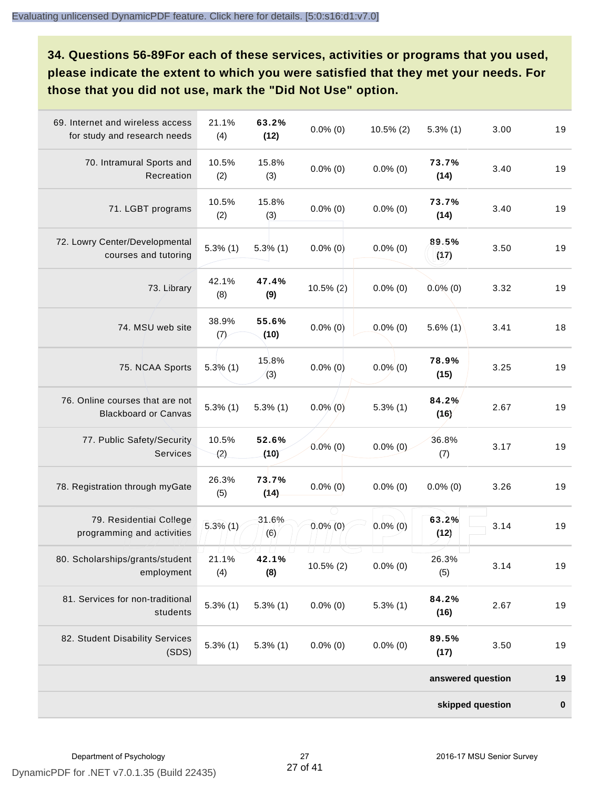**34. Questions 56-89For each of these services, activities or programs that you used, please indicate the extent to which you were satisfied that they met your needs. For those that you did not use, mark the "Did Not Use" option.**

| 69. Internet and wireless access<br>for study and research needs | 21.1%<br>(4) | 63.2%<br>(12) | $0.0\%$ (0)                  | $10.5\%$ (2) | $5.3\%$ (1)       | 3.00 | 19        |
|------------------------------------------------------------------|--------------|---------------|------------------------------|--------------|-------------------|------|-----------|
| 70. Intramural Sports and<br>Recreation                          | 10.5%<br>(2) | 15.8%<br>(3)  | $0.0\%$ (0)                  | $0.0\%$ (0)  | 73.7%<br>(14)     | 3.40 | 19        |
| 71. LGBT programs                                                | 10.5%<br>(2) | 15.8%<br>(3)  | $0.0\%$ (0)                  | $0.0\%$ (0)  | 73.7%<br>(14)     | 3.40 | 19        |
| 72. Lowry Center/Developmental<br>courses and tutoring           | $5.3\%$ (1)  | $5.3\%$ (1)   | $0.0\%$ (0)                  | $0.0\%$ (0)  | 89.5%<br>(17)     | 3.50 | 19        |
| 73. Library                                                      | 42.1%<br>(8) | 47.4%<br>(9)  | $10.5\%$ (2)                 | $0.0\%$ (0)  | $0.0\%$ (0)       | 3.32 | 19        |
| 74. MSU web site                                                 | 38.9%<br>(7) | 55.6%<br>(10) | $0.0\%$ (0)                  | $0.0\%$ (0)  | $5.6\%$ (1)       | 3.41 | 18        |
| 75. NCAA Sports                                                  | $5.3\%$ (1)  | 15.8%<br>(3)  | $0.0\%$ (0)                  | $0.0\%$ (0)  | 78.9%<br>(15)     | 3.25 | 19        |
| 76. Online courses that are not<br><b>Blackboard or Canvas</b>   | $5.3\%$ (1)  | $5.3\%$ (1)   | $0.0\%$ (0)                  | $5.3\%$ (1)  | 84.2%<br>(16)     | 2.67 | 19        |
| 77. Public Safety/Security<br>Services                           | 10.5%<br>(2) | 52.6%<br>(10) | $0.0\%$ (0)                  | $0.0\%$ (0)  | 36.8%<br>(7)      | 3.17 | 19        |
| 78. Registration through myGate                                  | 26.3%<br>(5) | 73.7%<br>(14) | $0.0\%$ (0)                  | $0.0\%$ (0)  | $0.0\%$ (0)       | 3.26 | 19        |
| 79. Residential College<br>programming and activities            | $5.3\%$ (1)  | 31.6%<br>(6)  | $0.0\%$ (0)                  | $0.0\%$ (0)  | 63.2%<br>(12)     | 3.14 | 19        |
| 80. Scholarships/grants/student<br>employment                    | 21.1%<br>(4) | 42.1%<br>(8)  | U<br>$\perp$<br>$10.5\%$ (2) | $0.0\%$ (0)  | 26.3%<br>(5)      | 3.14 | 19        |
| 81. Services for non-traditional<br>students                     | $5.3\%$ (1)  | $5.3\%$ (1)   | $0.0\%$ (0)                  | $5.3\%$ (1)  | 84.2%<br>(16)     | 2.67 | 19        |
| 82. Student Disability Services<br>(SDS)                         | $5.3\%$ (1)  | $5.3\%$ (1)   | $0.0\%$ (0)                  | $0.0\%$ (0)  | 89.5%<br>(17)     | 3.50 | 19        |
|                                                                  |              |               |                              |              | answered question |      | 19        |
|                                                                  |              |               |                              |              | skipped question  |      | $\pmb{0}$ |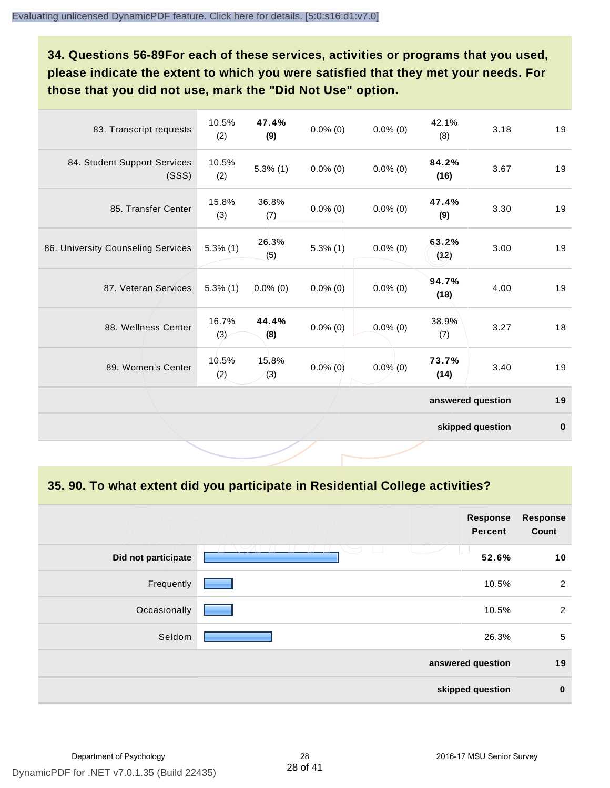**34. Questions 56-89For each of these services, activities or programs that you used, please indicate the extent to which you were satisfied that they met your needs. For those that you did not use, mark the "Did Not Use" option.**

| 83. Transcript requests               | 10.5%<br>(2) | 47.4%<br>(9) | $0.0\%$ (0) | $0.0\%$ (0) | 42.1%<br>(8)      | 3.18             | 19       |
|---------------------------------------|--------------|--------------|-------------|-------------|-------------------|------------------|----------|
| 84. Student Support Services<br>(SSS) | 10.5%<br>(2) | $5.3\%$ (1)  | $0.0\%$ (0) | $0.0\%$ (0) | 84.2%<br>(16)     | 3.67             | 19       |
| 85. Transfer Center                   | 15.8%<br>(3) | 36.8%<br>(7) | $0.0\%$ (0) | $0.0\%$ (0) | 47.4%<br>(9)      | 3.30             | 19       |
| 86. University Counseling Services    | $5.3\%$ (1)  | 26.3%<br>(5) | $5.3\%$ (1) | $0.0\%$ (0) | 63.2%<br>(12)     | 3.00             | 19       |
| 87. Veteran Services                  | $5.3\%$ (1)  | $0.0\%$ (0)  | $0.0\%$ (0) | $0.0\%$ (0) | 94.7%<br>(18)     | 4.00             | 19       |
| 88. Wellness Center                   | 16.7%<br>(3) | 44.4%<br>(8) | $0.0\%$ (0) | $0.0\%$ (0) | 38.9%<br>(7)      | 3.27             | 18       |
| 89. Women's Center                    | 10.5%<br>(2) | 15.8%<br>(3) | $0.0\%$ (0) | $0.0\%$ (0) | 73.7%<br>(14)     | 3.40             | 19       |
|                                       |              |              |             |             | answered question |                  | 19       |
|                                       |              |              |             |             |                   | skipped question | $\bf{0}$ |

**35. 90. To what extent did you participate in Residential College activities?**

| <b>Response</b><br>Count | <b>Response</b><br><b>Percent</b> |                     |
|--------------------------|-----------------------------------|---------------------|
| 10                       | $\overline{\phantom{0}}$<br>52.6% | Did not participate |
| $\overline{2}$           | 10.5%                             | Frequently          |
| 2                        | 10.5%                             | Occasionally        |
| $5\phantom{.0}$          | 26.3%                             | Seldom              |
| 19                       | answered question                 |                     |
| $\mathbf 0$              | skipped question                  |                     |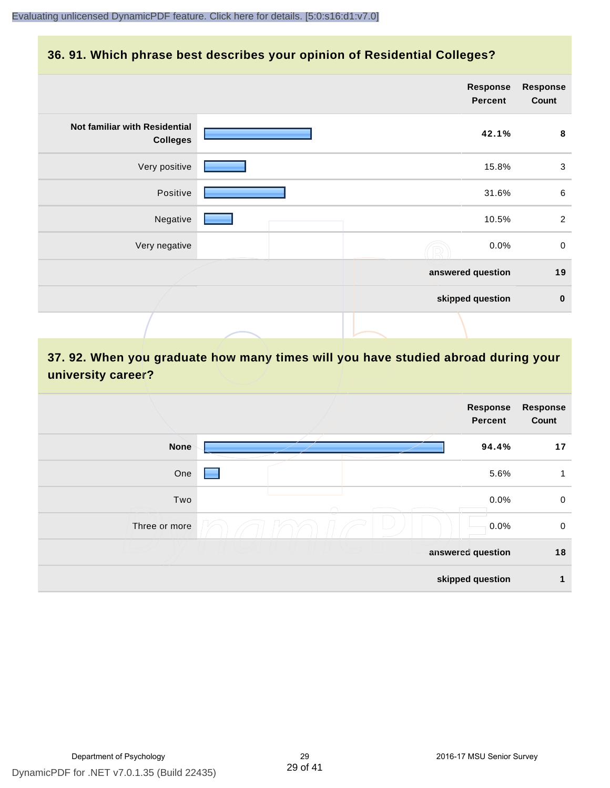#### **36. 91. Which phrase best describes your opinion of Residential Colleges?**

|                                                  | <b>Response</b><br>Percent | <b>Response</b><br>Count |
|--------------------------------------------------|----------------------------|--------------------------|
| Not familiar with Residential<br><b>Colleges</b> | 42.1%                      | 8                        |
| Very positive                                    | 15.8%                      | $\mathbf{3}$             |
| Positive                                         | 31.6%                      | $\,6\,$                  |
| Negative                                         | 10.5%                      | $\overline{2}$           |
| Very negative                                    | 0.0%                       | $\boldsymbol{0}$         |
|                                                  | answered question          | 19                       |
|                                                  | skipped question           | $\mathbf 0$              |
|                                                  |                            |                          |

## **37. 92. When you graduate how many times will you have studied abroad during your university career?**

| <b>Response</b><br>Count | Response<br><b>Percent</b> |               |
|--------------------------|----------------------------|---------------|
| 17                       | 94.4%                      | <b>None</b>   |
| 1                        | 5.6%                       | One           |
| $\mathbf 0$              | 0.0%                       | Two           |
| $\mathbf 0$              | 0.0%                       | Three or more |
| 18                       | answered question          |               |
| 1                        | skipped question           |               |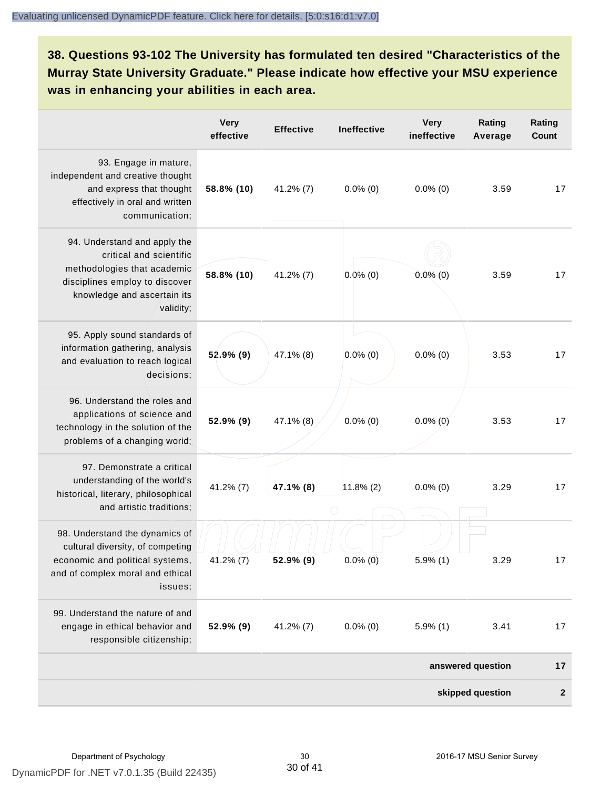**38. Questions 93-102 The University has formulated ten desired "Characteristics of the Murray State University Graduate." Please indicate how effective your MSU experience was in enhancing your abilities in each area.**

|                                                                                                                                                                      | <b>Very</b><br>effective | <b>Effective</b> | <b>Ineffective</b> | <b>Very</b><br>ineffective | Rating<br>Average | Rating<br><b>Count</b> |
|----------------------------------------------------------------------------------------------------------------------------------------------------------------------|--------------------------|------------------|--------------------|----------------------------|-------------------|------------------------|
| 93. Engage in mature,<br>independent and creative thought<br>and express that thought<br>effectively in oral and written<br>communication;                           | 58.8% (10)               | 41.2% (7)        | $0.0\%$ (0)        | $0.0\%$ (0)                | 3.59              | 17                     |
| 94. Understand and apply the<br>critical and scientific<br>methodologies that academic<br>disciplines employ to discover<br>knowledge and ascertain its<br>validity; | 58.8% (10)               | 41.2% (7)        | $0.0\%$ (0)        | $0.0\%$ (0)                | 3.59              | 17                     |
| 95. Apply sound standards of<br>information gathering, analysis<br>and evaluation to reach logical<br>decisions;                                                     | $52.9\%$ (9)             | 47.1% (8)        | $0.0\%$ (0)        | $0.0\%$ (0)                | 3.53              | 17                     |
| 96. Understand the roles and<br>applications of science and<br>technology in the solution of the<br>problems of a changing world;                                    | 52.9% (9)                | 47.1% (8)        | $0.0\%$ (0)        | $0.0\%$ (0)                | 3.53              | 17                     |
| 97. Demonstrate a critical<br>understanding of the world's<br>historical, literary, philosophical<br>and artistic traditions;                                        | $41.2\%$ (7)             | 47.1% (8)        | $11.8\%$ (2)       | $0.0\%$ (0)                | 3.29              | 17                     |
| 98. Understand the dynamics of<br>cultural diversity, of competing<br>economic and political systems,<br>and of complex moral and ethical<br>issues;                 | 41.2% (7)                | 52.9% (9)        | $0.0\%$ (0)        | $5.9\%$ (1)                | 3.29              | 17                     |
| 99. Understand the nature of and<br>engage in ethical behavior and<br>responsible citizenship;                                                                       | 52.9% (9)                | 41.2% (7)        | $0.0\%$ (0)        | $5.9\%$ (1)                | 3.41              | 17                     |
|                                                                                                                                                                      |                          |                  |                    |                            | answered question | 17                     |
|                                                                                                                                                                      |                          |                  |                    |                            | skipped question  | $\boldsymbol{2}$       |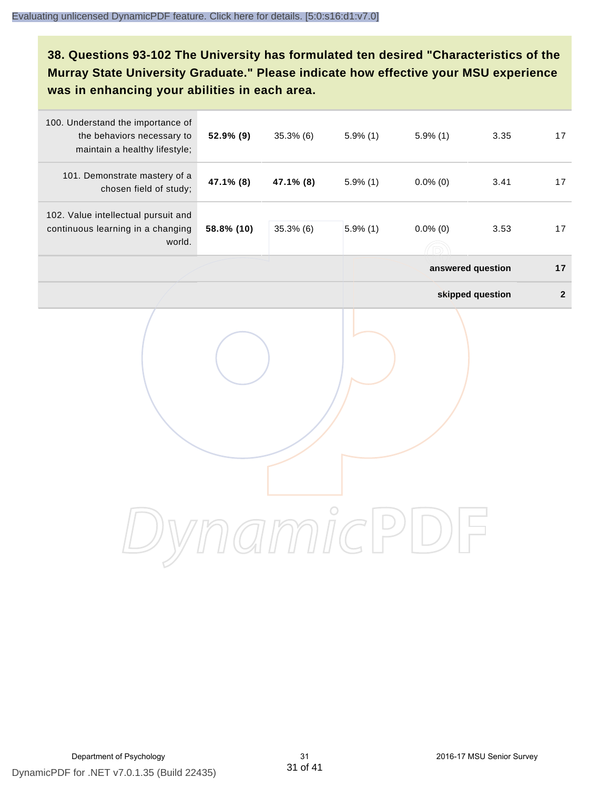**38. Questions 93-102 The University has formulated ten desired "Characteristics of the Murray State University Graduate." Please indicate how effective your MSU experience was in enhancing your abilities in each area.**

| 100. Understand the importance of<br>the behaviors necessary to<br>maintain a healthy lifestyle; | 52.9% (9)  | 35.3% (6) | $5.9\%$ (1) | $5.9\%$ (1)       | 3.35             | 17           |
|--------------------------------------------------------------------------------------------------|------------|-----------|-------------|-------------------|------------------|--------------|
| 101. Demonstrate mastery of a<br>chosen field of study;                                          | 47.1% (8)  | 47.1% (8) | $5.9\%$ (1) | $0.0\%$ (0)       | 3.41             | 17           |
| 102. Value intellectual pursuit and<br>continuous learning in a changing<br>world.               | 58.8% (10) | 35.3%(6)  | $5.9\%$ (1) | $0.0\%$ (0)       | 3.53             | 17           |
|                                                                                                  |            |           |             | answered question |                  | 17           |
|                                                                                                  |            |           |             |                   | skipped question | $\mathbf{2}$ |
|                                                                                                  |            |           |             |                   |                  |              |
|                                                                                                  |            |           |             |                   |                  |              |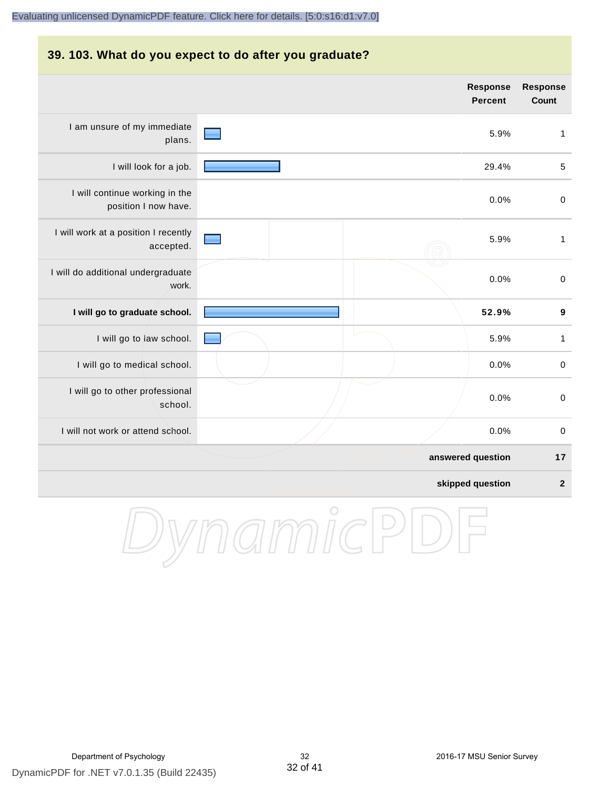#### **39. 103. What do you expect to do after you graduate?**

|                                                        | Response<br><b>Percent</b> | Response<br>Count       |
|--------------------------------------------------------|----------------------------|-------------------------|
| I am unsure of my immediate<br>plans.                  | 5.9%                       | $\mathbf{1}$            |
| I will look for a job.                                 | 29.4%                      | $\sqrt{5}$              |
| I will continue working in the<br>position I now have. | 0.0%                       | $\pmb{0}$               |
| I will work at a position I recently<br>accepted.      | 5.9%                       | $\mathbf{1}$            |
| I will do additional undergraduate<br>work.            | 0.0%                       | $\pmb{0}$               |
| I will go to graduate school.                          | 52.9%                      | $\boldsymbol{9}$        |
| I will go to law school.                               | 5.9%                       | $\mathbf{1}$            |
| I will go to medical school.                           | 0.0%                       | $\mathbf 0$             |
| I will go to other professional<br>school.             | 0.0%                       | $\mathbf 0$             |
| I will not work or attend school.                      | 0.0%                       | $\pmb{0}$               |
|                                                        | answered question          | 17                      |
|                                                        | skipped question           | $\overline{\mathbf{2}}$ |

DynamicPDF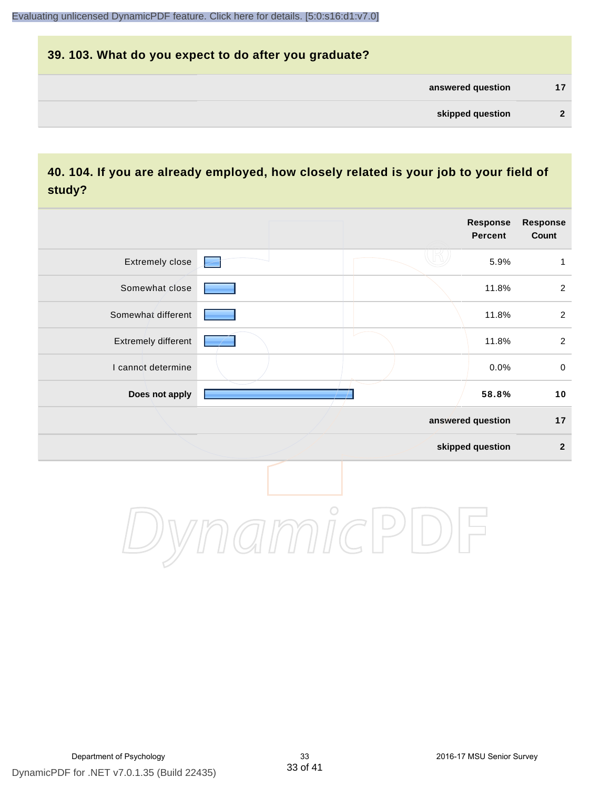# **39. 103. What do you expect to do after you graduate? answered question 17 skipped question 2**

### **40. 104. If you are already employed, how closely related is your job to your field of study?**

|                     |         | Response<br><b>Percent</b> | Response<br>Count |
|---------------------|---------|----------------------------|-------------------|
| Extremely close     |         | 5.9%                       | $\mathbf{1}$      |
| Somewhat close      |         | 11.8%                      | $\overline{2}$    |
| Somewhat different  |         | 11.8%                      | $\overline{2}$    |
| Extremely different |         | 11.8%                      | $\overline{2}$    |
| I cannot determine  |         | 0.0%                       | $\mathbf 0$       |
| Does not apply      |         | 58.8%                      | 10                |
|                     |         | answered question          | $17$              |
|                     |         | skipped question           | $\mathbf{2}$      |
|                     | $\circ$ |                            |                   |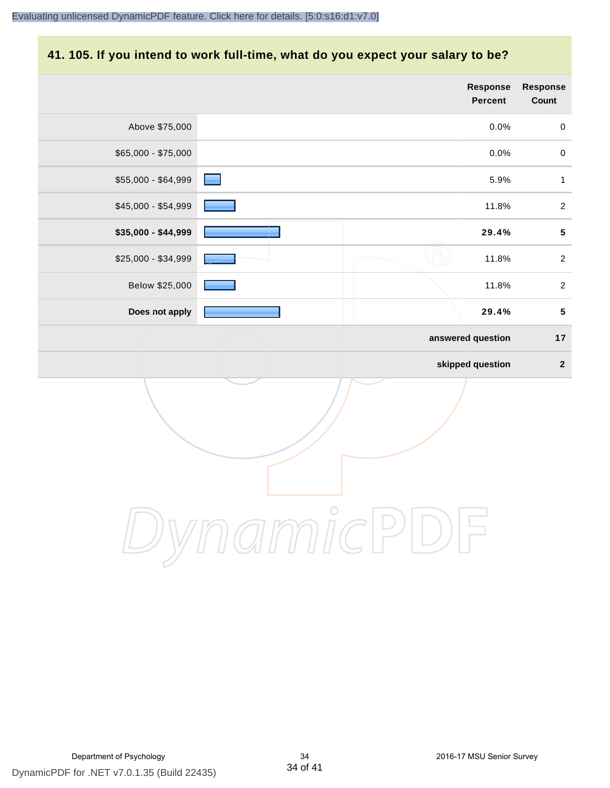## **41. 105. If you intend to work full-time, what do you expect your salary to be?**

|                     | Response<br><b>Percent</b> | Response<br>Count   |
|---------------------|----------------------------|---------------------|
| Above \$75,000      | 0.0%                       | $\mathbf 0$         |
| \$65,000 - \$75,000 | 0.0%                       | $\mathsf{O}\xspace$ |
| \$55,000 - \$64,999 | 5.9%                       | $\mathbf{1}$        |
| \$45,000 - \$54,999 | 11.8%                      | $\overline{2}$      |
| \$35,000 - \$44,999 | 29.4%                      | ${\bf 5}$           |
| \$25,000 - \$34,999 | 11.8%                      | $\overline{2}$      |
| Below \$25,000      | 11.8%                      | $\overline{2}$      |
| Does not apply      | 29.4%                      | $5\phantom{.0}$     |
|                     | answered question          | 17                  |
|                     | skipped question           | $\overline{2}$      |
|                     |                            |                     |
|                     | $\bigcirc$                 |                     |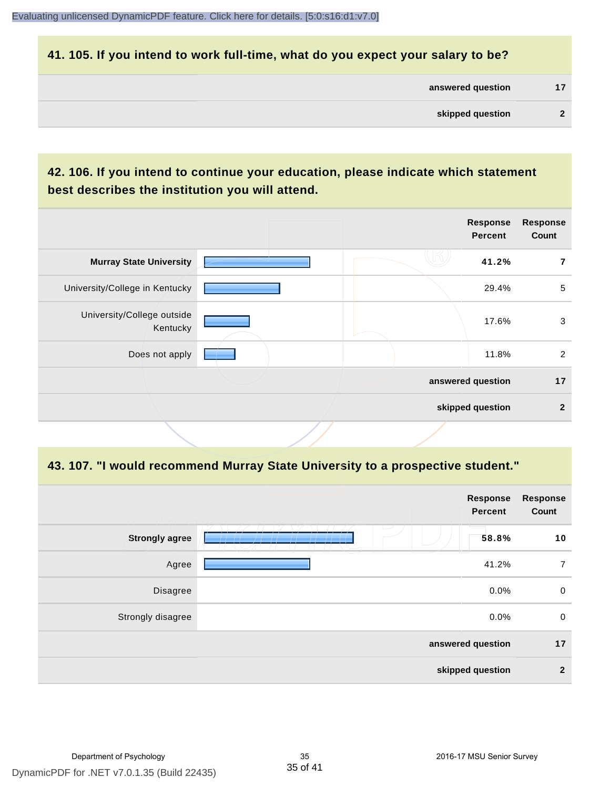#### **41. 105. If you intend to work full-time, what do you expect your salary to be?**

| answered question | 17 |
|-------------------|----|
| skipped question  |    |

### **42. 106. If you intend to continue your education, please indicate which statement best describes the institution you will attend.**

|                                        |  | <b>Response</b><br><b>Percent</b> | <b>Response</b><br>Count |
|----------------------------------------|--|-----------------------------------|--------------------------|
| <b>Murray State University</b>         |  | 41.2%                             | 7                        |
| University/College in Kentucky         |  | 29.4%                             | 5                        |
| University/College outside<br>Kentucky |  | 17.6%                             | 3                        |
| Does not apply                         |  | 11.8%                             | 2                        |
|                                        |  | answered question                 | 17                       |
|                                        |  | skipped question                  | $\mathbf{2}$             |
|                                        |  |                                   |                          |

#### **43. 107. "I would recommend Murray State University to a prospective student."**

|                       | <b>Response</b><br><b>Percent</b> | <b>Response</b><br>Count |
|-----------------------|-----------------------------------|--------------------------|
| <b>Strongly agree</b> | $\overline{\phantom{a}}$<br>58.8% | 10                       |
| Agree                 | 41.2%                             | $\overline{7}$           |
| Disagree              | 0.0%                              | $\mathbf 0$              |
| Strongly disagree     | 0.0%                              | $\pmb{0}$                |
|                       | answered question                 | 17                       |
|                       | skipped question                  | $\boldsymbol{2}$         |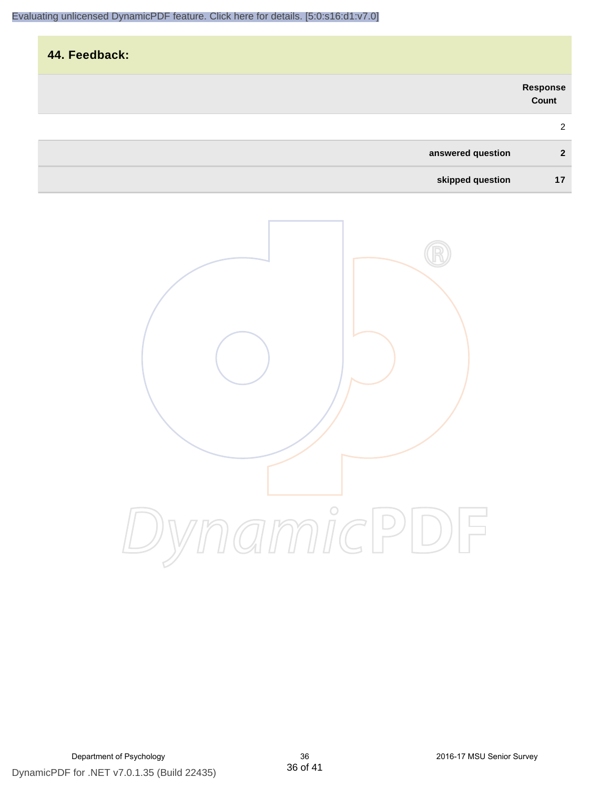| 44. Feedback:     |                   |
|-------------------|-------------------|
|                   | Response<br>Count |
|                   | $\overline{2}$    |
| answered question | $\overline{2}$    |
| skipped question  | 17                |

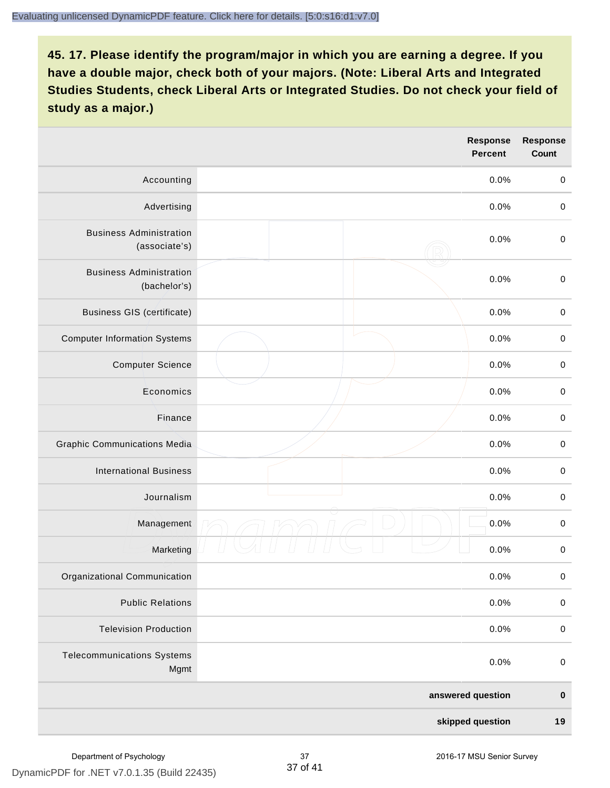|                                                 | <b>Response</b><br><b>Percent</b> | <b>Response</b><br>Count |
|-------------------------------------------------|-----------------------------------|--------------------------|
| Accounting                                      | 0.0%                              | $\pmb{0}$                |
| Advertising                                     | 0.0%                              | $\mathbf 0$              |
| <b>Business Administration</b><br>(associate's) | 0.0%                              | $\mathbf 0$              |
| <b>Business Administration</b><br>(bachelor's)  | 0.0%                              | $\pmb{0}$                |
| <b>Business GIS (certificate)</b>               | 0.0%                              | $\mathbf 0$              |
| <b>Computer Information Systems</b>             | 0.0%                              | $\pmb{0}$                |
| <b>Computer Science</b>                         | 0.0%                              | $\mathbf 0$              |
| Economics                                       | 0.0%                              | $\mathbf 0$              |
| Finance                                         | 0.0%                              | $\pmb{0}$                |
| <b>Graphic Communications Media</b>             | 0.0%                              | $\mathbf 0$              |
| <b>International Business</b>                   | 0.0%                              | $\pmb{0}$                |
| Journalism                                      | 0.0%                              | $\pmb{0}$                |
| Management                                      | 0.0%                              | $\,0\,$                  |
| Marketing                                       | 0.0%                              | $\pmb{0}$                |
| Organizational Communication                    | 0.0%                              | $\pmb{0}$                |
| <b>Public Relations</b>                         | 0.0%                              | $\pmb{0}$                |
| <b>Television Production</b>                    | 0.0%                              | $\mathbf 0$              |
| <b>Telecommunications Systems</b><br>Mgmt       | 0.0%                              | $\pmb{0}$                |
|                                                 | answered question                 | $\pmb{0}$                |
|                                                 | skipped question                  | 19                       |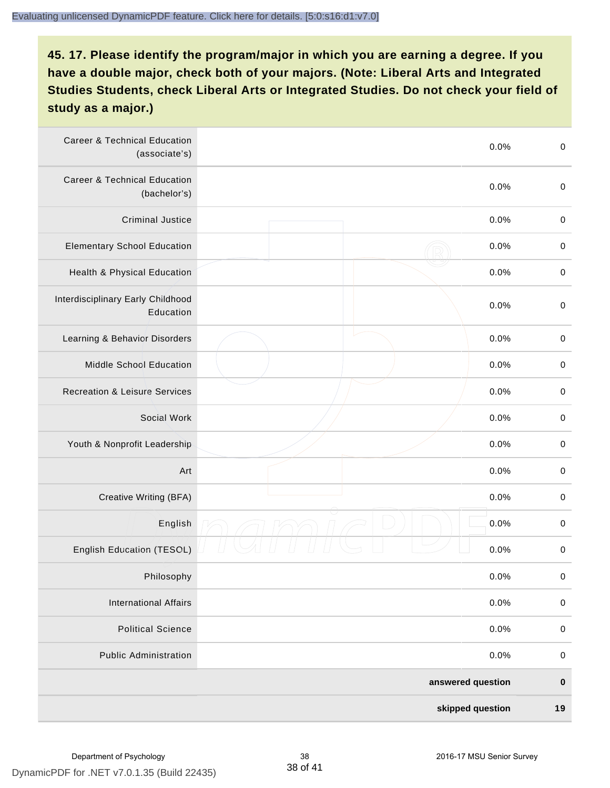| <b>Career &amp; Technical Education</b><br>(associate's) | 0.0%              | $\pmb{0}$        |
|----------------------------------------------------------|-------------------|------------------|
| <b>Career &amp; Technical Education</b><br>(bachelor's)  | 0.0%              | $\boldsymbol{0}$ |
| <b>Criminal Justice</b>                                  | 0.0%              | $\pmb{0}$        |
| <b>Elementary School Education</b>                       | 0.0%              | $\,0\,$          |
| <b>Health &amp; Physical Education</b>                   | 0.0%              | $\,0\,$          |
| Interdisciplinary Early Childhood<br>Education           | 0.0%              | $\mathbf 0$      |
| Learning & Behavior Disorders                            | 0.0%              | $\,0\,$          |
| Middle School Education                                  | 0.0%              | $\pmb{0}$        |
| <b>Recreation &amp; Leisure Services</b>                 | 0.0%              | $\boldsymbol{0}$ |
| Social Work                                              | 0.0%              | $\mathbf 0$      |
| Youth & Nonprofit Leadership                             | 0.0%              | $\mathbf 0$      |
| Art                                                      | 0.0%              | $\pmb{0}$        |
| Creative Writing (BFA)                                   | 0.0%              | $\,0\,$          |
| English                                                  | 0.0%              | $\,0\,$          |
| <b>English Education (TESOL)</b>                         | 0.0%              | $\,0\,$          |
| Philosophy                                               | 0.0%              | $\pmb{0}$        |
| <b>International Affairs</b>                             | 0.0%              | $\pmb{0}$        |
| <b>Political Science</b>                                 | 0.0%              | $\pmb{0}$        |
| <b>Public Administration</b>                             | 0.0%              | $\pmb{0}$        |
|                                                          | answered question | $\pmb{0}$        |
|                                                          | skipped question  | 19               |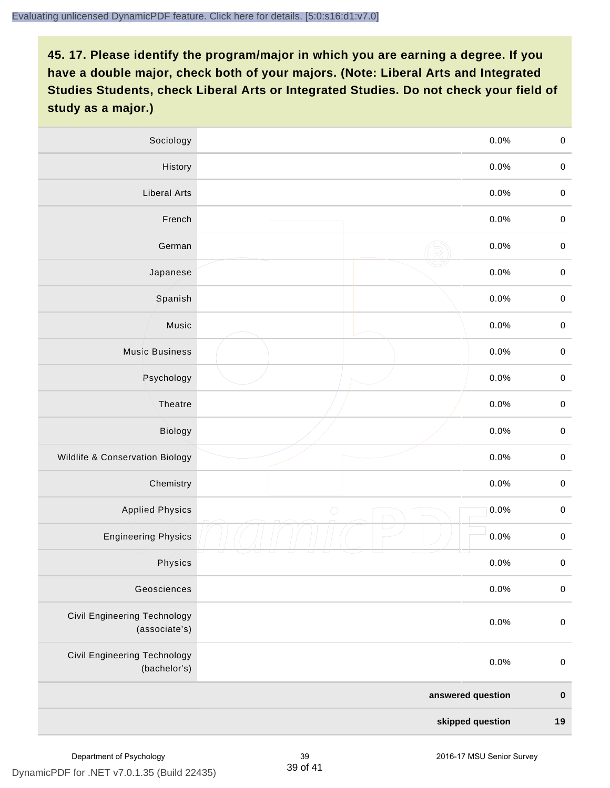| Sociology                                            | 0.0%               | $\mathbf 0$ |
|------------------------------------------------------|--------------------|-------------|
| History                                              | 0.0%               | $\mathbf 0$ |
| <b>Liberal Arts</b>                                  | 0.0%               | $\mathbf 0$ |
| French                                               | 0.0%               | $\mathbf 0$ |
| German                                               | 0.0%               | $\mathbf 0$ |
| Japanese                                             | 0.0%               | $\pmb{0}$   |
| Spanish                                              | 0.0%               | $\mathbf 0$ |
| Music                                                | 0.0%               | $\mathbf 0$ |
| <b>Music Business</b>                                | 0.0%               | $\pmb{0}$   |
| Psychology                                           | 0.0%               | $\mathbf 0$ |
| Theatre                                              | 0.0%               | $\mathbf 0$ |
| <b>Biology</b>                                       | 0.0%               | $\mathbf 0$ |
| Wildlife & Conservation Biology                      | 0.0%               | $\pmb{0}$   |
| Chemistry                                            | 0.0%               | $\mathbf 0$ |
| <b>Applied Physics</b>                               | $\bigcirc$<br>0.0% | $\mathbf 0$ |
| <b>Engineering Physics</b>                           | 0.0%               | $\mathbf 0$ |
| Physics                                              | 0.0%               | $\mathbf 0$ |
| Geosciences                                          | 0.0%               | $\pmb{0}$   |
| <b>Civil Engineering Technology</b><br>(associate's) | 0.0%               | $\mathbf 0$ |
| Civil Engineering Technology<br>(bachelor's)         | 0.0%               | $\pmb{0}$   |
|                                                      | answered question  | $\mathbf 0$ |
|                                                      | skipped question   | 19          |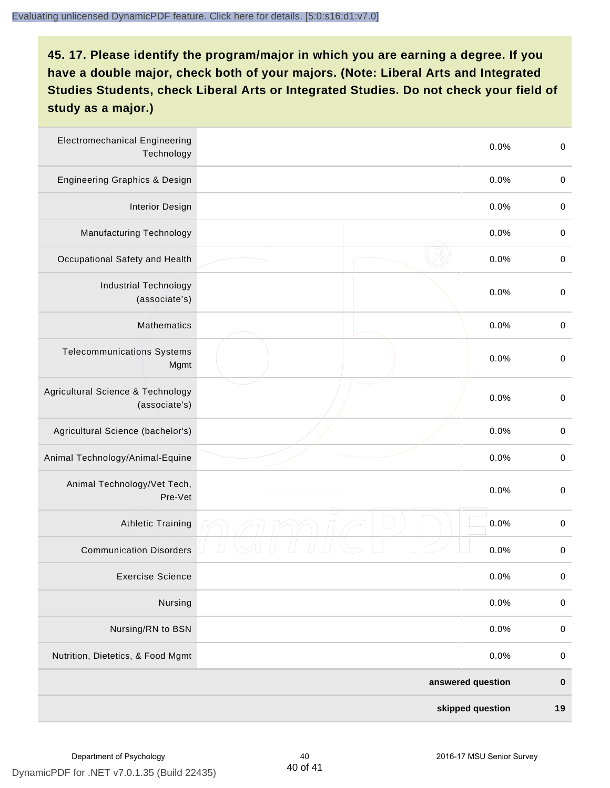| <b>Electromechanical Engineering</b><br>Technology | 0.0%              | $\boldsymbol{0}$ |
|----------------------------------------------------|-------------------|------------------|
| Engineering Graphics & Design                      | 0.0%              | $\pmb{0}$        |
| <b>Interior Design</b>                             | 0.0%              | $\boldsymbol{0}$ |
| Manufacturing Technology                           | 0.0%              | $\,0\,$          |
| Occupational Safety and Health                     | 0.0%              | $\boldsymbol{0}$ |
| <b>Industrial Technology</b><br>(associate's)      | 0.0%              | $\,0\,$          |
| Mathematics                                        | 0.0%              | $\pmb{0}$        |
| <b>Telecommunications Systems</b><br>Mgmt          | 0.0%              | $\boldsymbol{0}$ |
| Agricultural Science & Technology<br>(associate's) | 0.0%              | $\boldsymbol{0}$ |
| Agricultural Science (bachelor's)                  | 0.0%              | $\boldsymbol{0}$ |
| Animal Technology/Animal-Equine                    | 0.0%              | $\boldsymbol{0}$ |
| Animal Technology/Vet Tech,<br>Pre-Vet             | 0.0%              | $\boldsymbol{0}$ |
| <b>Athletic Training</b>                           | 0.0%              | $\boldsymbol{0}$ |
| <b>Communication Disorders</b>                     | 0.0%              | $\boldsymbol{0}$ |
| <b>Exercise Science</b>                            | 0.0%              | $\pmb{0}$        |
| Nursing                                            | 0.0%              | $\pmb{0}$        |
| Nursing/RN to BSN                                  | 0.0%              | $\boldsymbol{0}$ |
| Nutrition, Dietetics, & Food Mgmt                  | 0.0%              | $\boldsymbol{0}$ |
|                                                    | answered question | $\bf{0}$         |
|                                                    | skipped question  | 19               |